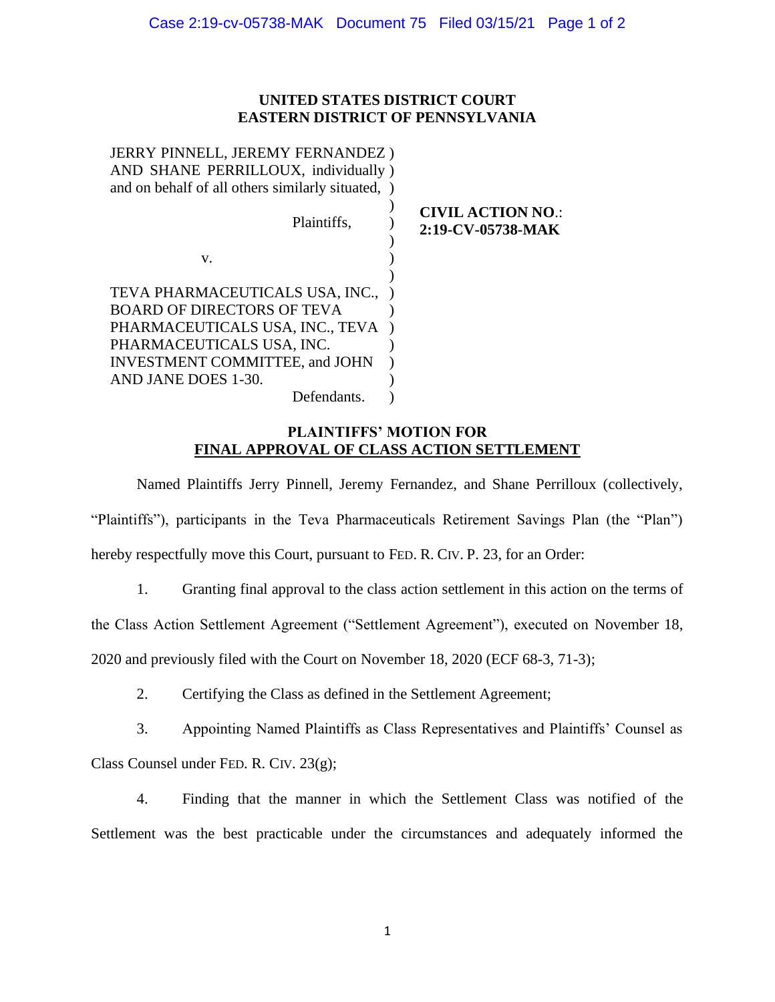## **UNITED STATES DISTRICT COURT EASTERN DISTRICT OF PENNSYLVANIA**

| JERRY PINNELL, JEREMY FERNANDEZ)<br>AND SHANE PERRILLOUX, individually)<br>and on behalf of all others similarly situated,           |                                               |
|--------------------------------------------------------------------------------------------------------------------------------------|-----------------------------------------------|
| Plaintiffs,                                                                                                                          | <b>CIVIL ACTION NO.:</b><br>2:19-CV-05738-MAK |
| V.                                                                                                                                   |                                               |
| TEVA PHARMACEUTICALS USA, INC.,<br><b>BOARD OF DIRECTORS OF TEVA</b><br>PHARMACEUTICALS USA, INC., TEVA<br>PHARMACEUTICALS USA, INC. |                                               |
| <b>INVESTMENT COMMITTEE, and JOHN</b>                                                                                                |                                               |
| AND JANE DOES 1-30.                                                                                                                  |                                               |
| Defendants.                                                                                                                          |                                               |

## **PLAINTIFFS' MOTION FOR FINAL APPROVAL OF CLASS ACTION SETTLEMENT**

Named Plaintiffs Jerry Pinnell, Jeremy Fernandez, and Shane Perrilloux (collectively, "Plaintiffs"), participants in the Teva Pharmaceuticals Retirement Savings Plan (the "Plan") hereby respectfully move this Court, pursuant to FED. R. CIV. P. 23, for an Order:

1. Granting final approval to the class action settlement in this action on the terms of the Class Action Settlement Agreement ("Settlement Agreement"), executed on November 18, 2020 and previously filed with the Court on November 18, 2020 (ECF 68-3, 71-3);

2. Certifying the Class as defined in the Settlement Agreement;

3. Appointing Named Plaintiffs as Class Representatives and Plaintiffs' Counsel as Class Counsel under FED. R. CIV. 23(g);

4. Finding that the manner in which the Settlement Class was notified of the Settlement was the best practicable under the circumstances and adequately informed the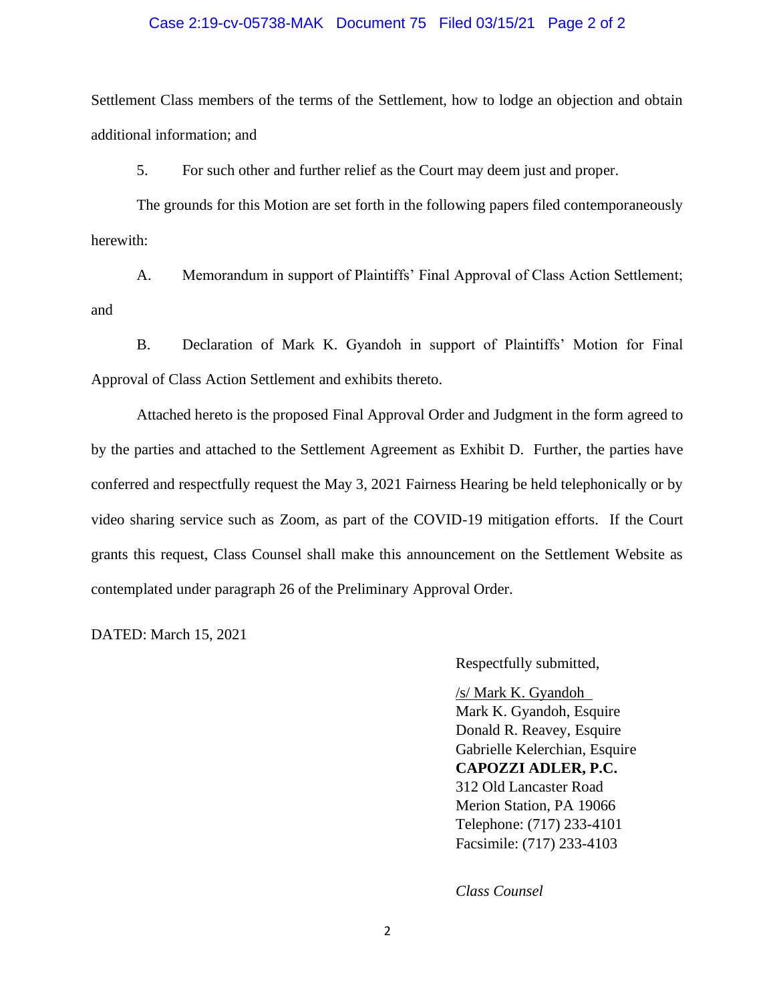#### Case 2:19-cv-05738-MAK Document 75 Filed 03/15/21 Page 2 of 2

Settlement Class members of the terms of the Settlement, how to lodge an objection and obtain additional information; and

5. For such other and further relief as the Court may deem just and proper.

The grounds for this Motion are set forth in the following papers filed contemporaneously herewith:

A. Memorandum in support of Plaintiffs' Final Approval of Class Action Settlement; and

B. Declaration of Mark K. Gyandoh in support of Plaintiffs' Motion for Final Approval of Class Action Settlement and exhibits thereto.

Attached hereto is the proposed Final Approval Order and Judgment in the form agreed to by the parties and attached to the Settlement Agreement as Exhibit D. Further, the parties have conferred and respectfully request the May 3, 2021 Fairness Hearing be held telephonically or by video sharing service such as Zoom, as part of the COVID-19 mitigation efforts. If the Court grants this request, Class Counsel shall make this announcement on the Settlement Website as contemplated under paragraph 26 of the Preliminary Approval Order.

DATED: March 15, 2021

Respectfully submitted,

/s/ Mark K. Gyandoh Mark K. Gyandoh, Esquire Donald R. Reavey, Esquire Gabrielle Kelerchian, Esquire **CAPOZZI ADLER, P.C.** 312 Old Lancaster Road Merion Station, PA 19066 Telephone: (717) 233-4101 Facsimile: (717) 233-4103

*Class Counsel*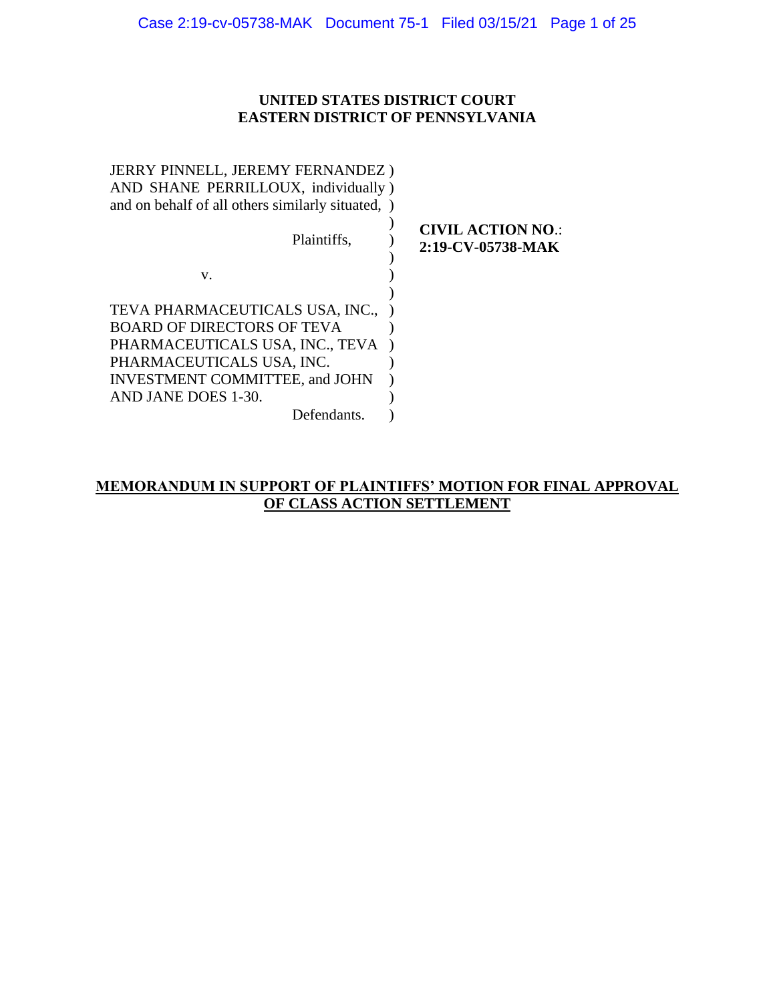## **UNITED STATES DISTRICT COURT EASTERN DISTRICT OF PENNSYLVANIA**

| <b>JERRY PINNELL, JEREMY FERNANDEZ)</b><br>AND SHANE PERRILLOUX, individually)<br>and on behalf of all others similarly situated, ) |                                               |
|-------------------------------------------------------------------------------------------------------------------------------------|-----------------------------------------------|
| Plaintiffs,                                                                                                                         | <b>CIVIL ACTION NO.:</b><br>2:19-CV-05738-MAK |
| v.                                                                                                                                  |                                               |
|                                                                                                                                     |                                               |
| TEVA PHARMACEUTICALS USA, INC.,                                                                                                     |                                               |
| <b>BOARD OF DIRECTORS OF TEVA</b>                                                                                                   |                                               |
| PHARMACEUTICALS USA, INC., TEVA                                                                                                     |                                               |
| PHARMACEUTICALS USA, INC.                                                                                                           |                                               |
| <b>INVESTMENT COMMITTEE, and JOHN</b>                                                                                               |                                               |
| AND JANE DOES 1-30.                                                                                                                 |                                               |
| Defendants.                                                                                                                         |                                               |

## **MEMORANDUM IN SUPPORT OF PLAINTIFFS' MOTION FOR FINAL APPROVAL OF CLASS ACTION SETTLEMENT**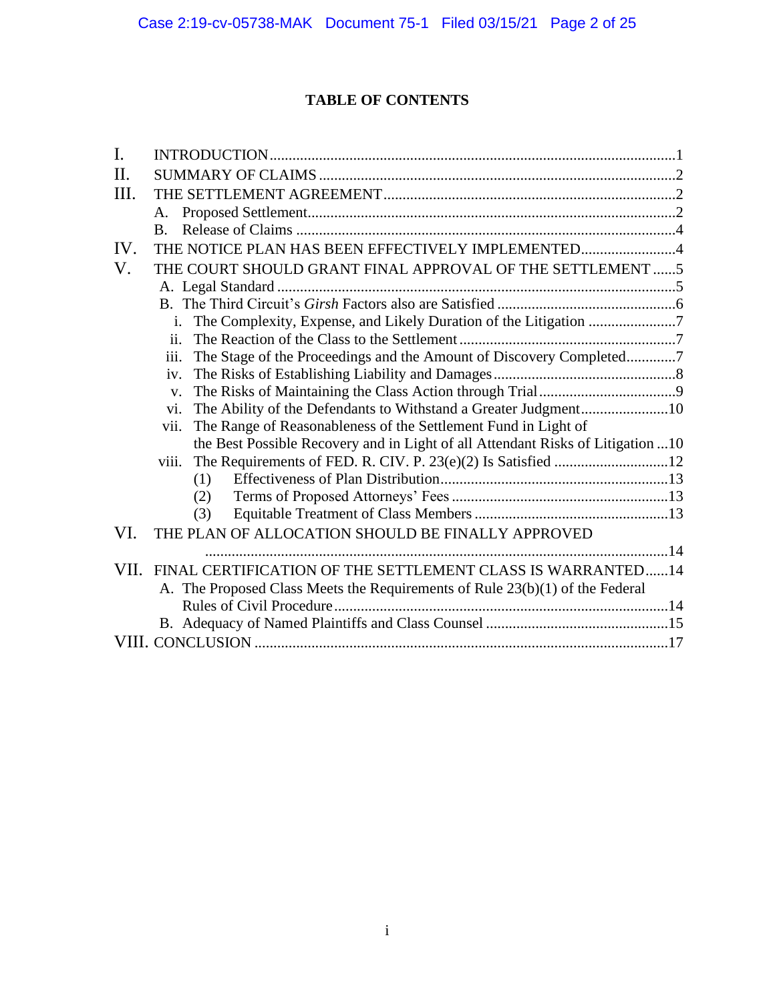# **TABLE OF CONTENTS**

| I.   |                                                                                 |  |
|------|---------------------------------------------------------------------------------|--|
| Π.   |                                                                                 |  |
| III. |                                                                                 |  |
|      | А.                                                                              |  |
|      | B.                                                                              |  |
| IV.  | THE NOTICE PLAN HAS BEEN EFFECTIVELY IMPLEMENTED4                               |  |
| V.   | THE COURT SHOULD GRANT FINAL APPROVAL OF THE SETTLEMENT 5                       |  |
|      |                                                                                 |  |
|      |                                                                                 |  |
|      | The Complexity, Expense, and Likely Duration of the Litigation 7<br>i.          |  |
|      | $\overline{11}$ .                                                               |  |
|      | iii.<br>The Stage of the Proceedings and the Amount of Discovery Completed7     |  |
|      | iv.                                                                             |  |
|      | $V_{\star}$                                                                     |  |
|      | The Ability of the Defendants to Withstand a Greater Judgment10<br>vi.          |  |
|      | The Range of Reasonableness of the Settlement Fund in Light of<br>vii.          |  |
|      | the Best Possible Recovery and in Light of all Attendant Risks of Litigation 10 |  |
|      | viii.                                                                           |  |
|      | (1)                                                                             |  |
|      | (2)                                                                             |  |
|      | (3)                                                                             |  |
| VI.  | THE PLAN OF ALLOCATION SHOULD BE FINALLY APPROVED                               |  |
|      |                                                                                 |  |
| VII. | FINAL CERTIFICATION OF THE SETTLEMENT CLASS IS WARRANTED14                      |  |
|      | A. The Proposed Class Meets the Requirements of Rule 23(b)(1) of the Federal    |  |
|      |                                                                                 |  |
|      |                                                                                 |  |
|      |                                                                                 |  |
|      |                                                                                 |  |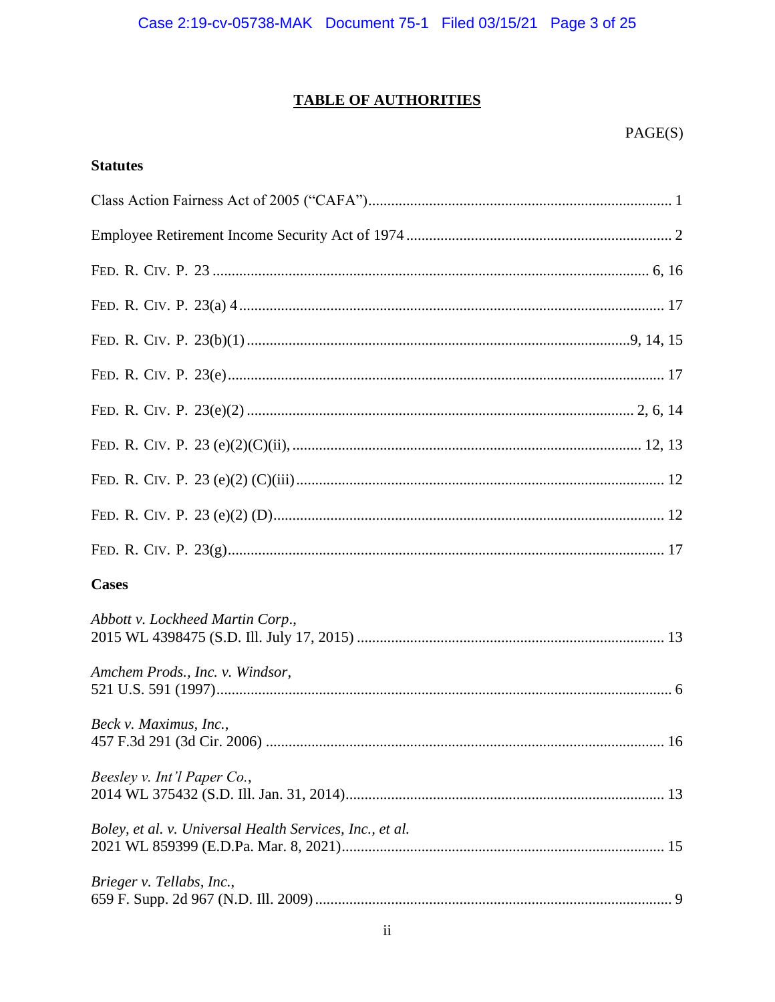# **TABLE OF AUTHORITIES**

## **Statutes**

| <b>Cases</b>                                             |
|----------------------------------------------------------|
| Abbott v. Lockheed Martin Corp.,                         |
| Amchem Prods., Inc. v. Windsor,                          |
| Beck v. Maximus, Inc.,                                   |
| Beesley v. Int'l Paper Co.,                              |
| Boley, et al. v. Universal Health Services, Inc., et al. |
| Brieger v. Tellabs, Inc.,                                |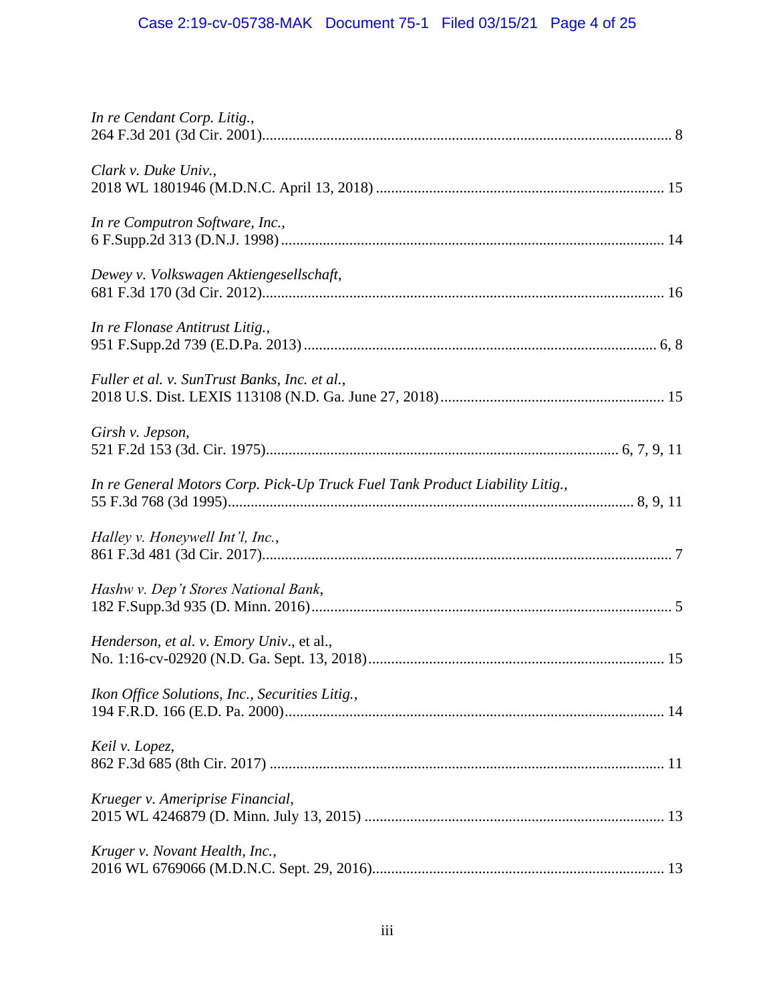| In re Cendant Corp. Litig.,                                                  |
|------------------------------------------------------------------------------|
| Clark v. Duke Univ.,                                                         |
| In re Computron Software, Inc.,                                              |
| Dewey v. Volkswagen Aktiengesellschaft,                                      |
| In re Flonase Antitrust Litig.,                                              |
| Fuller et al. v. SunTrust Banks, Inc. et al.,                                |
| Girsh v. Jepson,                                                             |
| In re General Motors Corp. Pick-Up Truck Fuel Tank Product Liability Litig., |
| Halley v. Honeywell Int'l, Inc.,                                             |
| Hashw v. Dep't Stores National Bank,                                         |
| Henderson, et al. v. Emory Univ., et al.,                                    |
| Ikon Office Solutions, Inc., Securities Litig.,                              |
| Keil v. Lopez,                                                               |
| Krueger v. Ameriprise Financial,                                             |
| Kruger v. Novant Health, Inc.,                                               |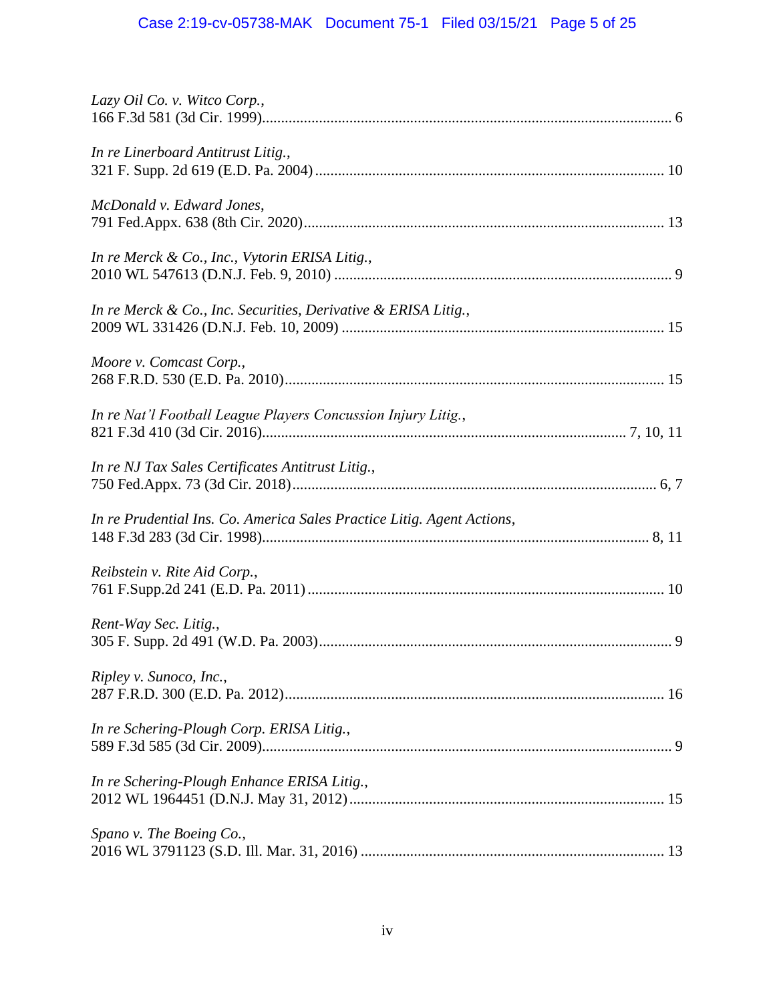# Case 2:19-cv-05738-MAK Document 75-1 Filed 03/15/21 Page 5 of 25

| Lazy Oil Co. v. Witco Corp.,                                           |
|------------------------------------------------------------------------|
| In re Linerboard Antitrust Litig.,                                     |
| McDonald v. Edward Jones,                                              |
| In re Merck & Co., Inc., Vytorin ERISA Litig.,                         |
| In re Merck & Co., Inc. Securities, Derivative & ERISA Litig.,         |
| Moore v. Comcast Corp.,                                                |
| In re Nat'l Football League Players Concussion Injury Litig.,          |
| In re NJ Tax Sales Certificates Antitrust Litig.,                      |
| In re Prudential Ins. Co. America Sales Practice Litig. Agent Actions, |
| Reibstein v. Rite Aid Corp.,                                           |
| Rent-Way Sec. Litig.,                                                  |
| Ripley v. Sunoco, Inc.,                                                |
| In re Schering-Plough Corp. ERISA Litig.,                              |
| In re Schering-Plough Enhance ERISA Litig.,                            |
| Spano v. The Boeing Co.,                                               |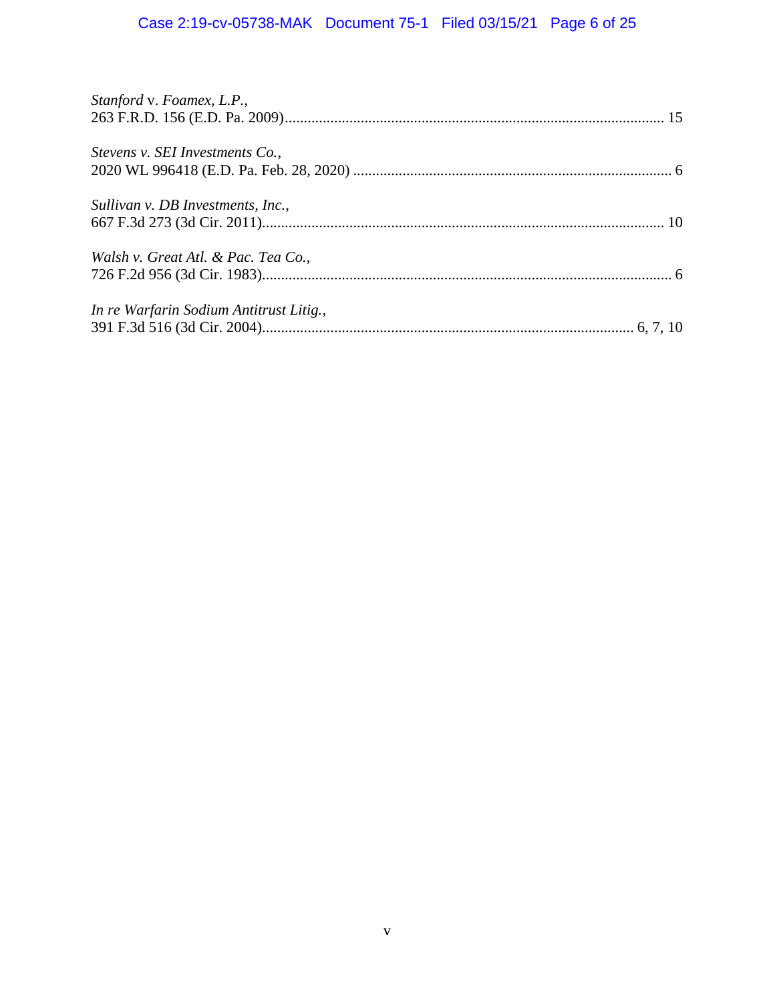# Case 2:19-cv-05738-MAK Document 75-1 Filed 03/15/21 Page 6 of 25

| Stanford v. Foamex, L.P.,               |  |
|-----------------------------------------|--|
| Stevens v. SEI Investments Co.,         |  |
| Sullivan v. DB Investments, Inc.,       |  |
| Walsh v. Great Atl. & Pac. Tea Co.,     |  |
| In re Warfarin Sodium Antitrust Litig., |  |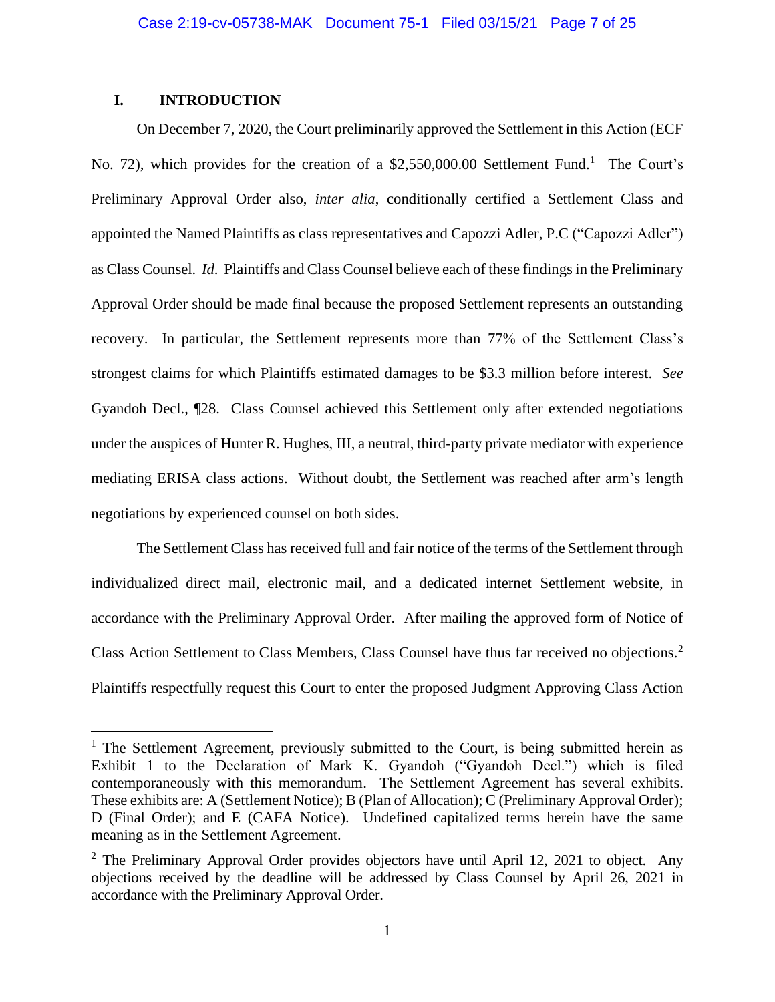## **I. INTRODUCTION**

On December 7, 2020, the Court preliminarily approved the Settlement in this Action (ECF No. 72), which provides for the creation of a \$2,550,000.00 Settlement Fund.<sup>1</sup> The Court's Preliminary Approval Order also, *inter alia*, conditionally certified a Settlement Class and appointed the Named Plaintiffs as class representatives and Capozzi Adler, P.C ("Capozzi Adler") as Class Counsel. *Id*. Plaintiffs and Class Counsel believe each of these findings in the Preliminary Approval Order should be made final because the proposed Settlement represents an outstanding recovery. In particular, the Settlement represents more than 77% of the Settlement Class's strongest claims for which Plaintiffs estimated damages to be \$3.3 million before interest. *See*  Gyandoh Decl., ¶28. Class Counsel achieved this Settlement only after extended negotiations under the auspices of Hunter R. Hughes, III, a neutral, third-party private mediator with experience mediating ERISA class actions. Without doubt, the Settlement was reached after arm's length negotiations by experienced counsel on both sides.

The Settlement Class has received full and fair notice of the terms of the Settlement through individualized direct mail, electronic mail, and a dedicated internet Settlement website, in accordance with the Preliminary Approval Order. After mailing the approved form of Notice of Class Action Settlement to Class Members, Class Counsel have thus far received no objections.<sup>2</sup> Plaintiffs respectfully request this Court to enter the proposed Judgment Approving Class Action

<sup>&</sup>lt;sup>1</sup> The Settlement Agreement, previously submitted to the Court, is being submitted herein as Exhibit 1 to the Declaration of Mark K. Gyandoh ("Gyandoh Decl.") which is filed contemporaneously with this memorandum. The Settlement Agreement has several exhibits. These exhibits are: A (Settlement Notice); B (Plan of Allocation); C (Preliminary Approval Order); D (Final Order); and E (CAFA Notice). Undefined capitalized terms herein have the same meaning as in the Settlement Agreement.

<sup>&</sup>lt;sup>2</sup> The Preliminary Approval Order provides objectors have until April 12, 2021 to object. Any objections received by the deadline will be addressed by Class Counsel by April 26, 2021 in accordance with the Preliminary Approval Order.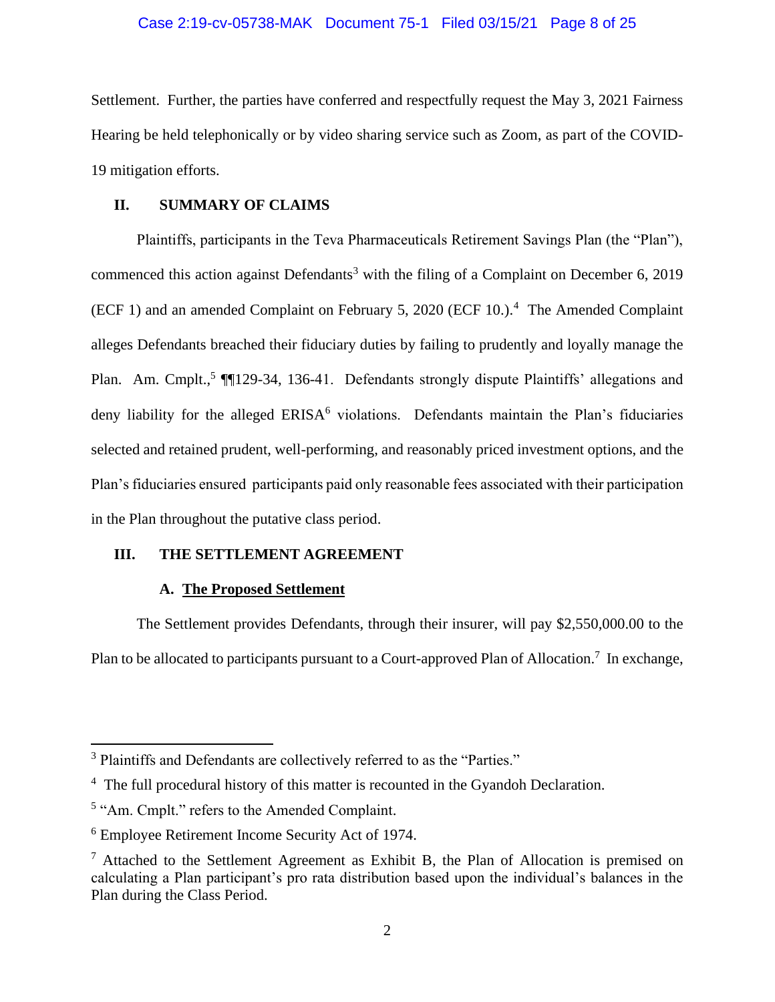#### Case 2:19-cv-05738-MAK Document 75-1 Filed 03/15/21 Page 8 of 25

Settlement. Further, the parties have conferred and respectfully request the May 3, 2021 Fairness Hearing be held telephonically or by video sharing service such as Zoom, as part of the COVID-19 mitigation efforts.

#### **II. SUMMARY OF CLAIMS**

Plaintiffs, participants in the Teva Pharmaceuticals Retirement Savings Plan (the "Plan"), commenced this action against Defendants<sup>3</sup> with the filing of a Complaint on December 6, 2019 (ECF 1) and an amended Complaint on February 5, 2020 (ECF 10.).<sup>4</sup> The Amended Complaint alleges Defendants breached their fiduciary duties by failing to prudently and loyally manage the Plan. Am. Cmplt.,<sup>5</sup> [1129-34, 136-41. Defendants strongly dispute Plaintiffs' allegations and deny liability for the alleged ERISA<sup>6</sup> violations. Defendants maintain the Plan's fiduciaries selected and retained prudent, well-performing, and reasonably priced investment options, and the Plan's fiduciaries ensured participants paid only reasonable fees associated with their participation in the Plan throughout the putative class period.

## **III. THE SETTLEMENT AGREEMENT**

#### **A. The Proposed Settlement**

The Settlement provides Defendants, through their insurer, will pay \$2,550,000.00 to the Plan to be allocated to participants pursuant to a Court-approved Plan of Allocation.<sup>7</sup> In exchange,

<sup>&</sup>lt;sup>3</sup> Plaintiffs and Defendants are collectively referred to as the "Parties."

<sup>&</sup>lt;sup>4</sup> The full procedural history of this matter is recounted in the Gyandoh Declaration.

<sup>&</sup>lt;sup>5</sup> "Am. Cmplt." refers to the Amended Complaint.

<sup>6</sup> Employee Retirement Income Security Act of 1974.

 $<sup>7</sup>$  Attached to the Settlement Agreement as Exhibit B, the Plan of Allocation is premised on</sup> calculating a Plan participant's pro rata distribution based upon the individual's balances in the Plan during the Class Period.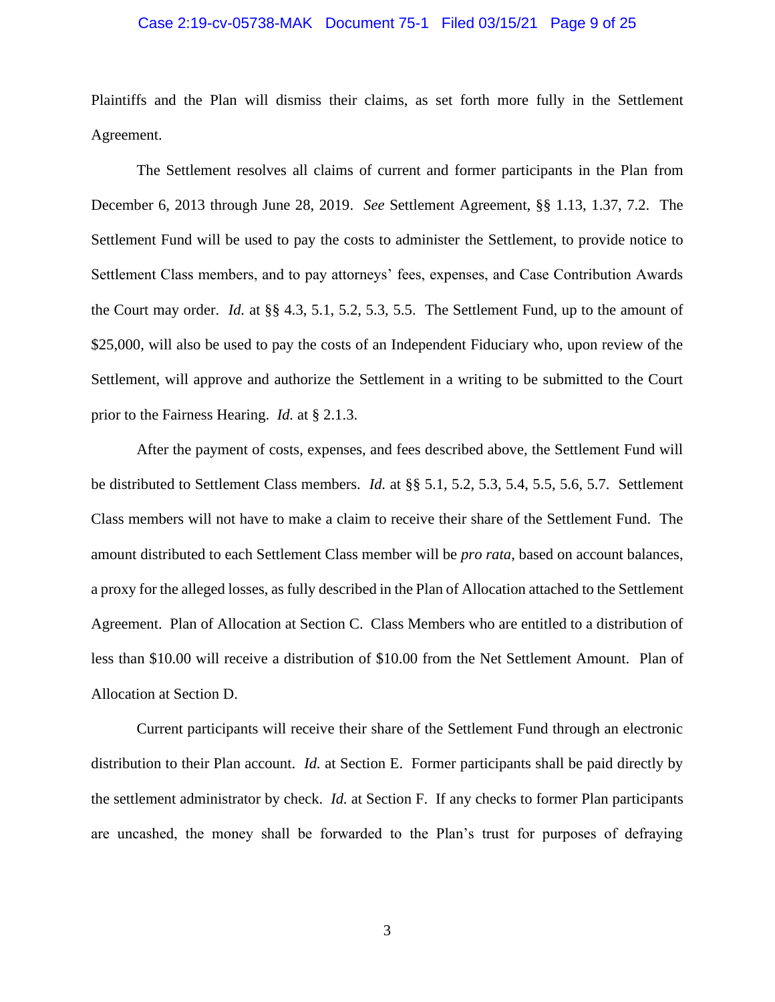#### Case 2:19-cv-05738-MAK Document 75-1 Filed 03/15/21 Page 9 of 25

Plaintiffs and the Plan will dismiss their claims, as set forth more fully in the Settlement Agreement.

The Settlement resolves all claims of current and former participants in the Plan from December 6, 2013 through June 28, 2019. *See* Settlement Agreement, §§ 1.13, 1.37, 7.2. The Settlement Fund will be used to pay the costs to administer the Settlement, to provide notice to Settlement Class members, and to pay attorneys' fees, expenses, and Case Contribution Awards the Court may order. *Id.* at §§ 4.3, 5.1, 5.2, 5.3, 5.5. The Settlement Fund, up to the amount of \$25,000, will also be used to pay the costs of an Independent Fiduciary who, upon review of the Settlement, will approve and authorize the Settlement in a writing to be submitted to the Court prior to the Fairness Hearing. *Id.* at § 2.1.3.

After the payment of costs, expenses, and fees described above, the Settlement Fund will be distributed to Settlement Class members. *Id.* at §§ 5.1, 5.2, 5.3, 5.4, 5.5, 5.6, 5.7. Settlement Class members will not have to make a claim to receive their share of the Settlement Fund. The amount distributed to each Settlement Class member will be *pro rata*, based on account balances, a proxy for the alleged losses, as fully described in the Plan of Allocation attached to the Settlement Agreement. Plan of Allocation at Section C. Class Members who are entitled to a distribution of less than \$10.00 will receive a distribution of \$10.00 from the Net Settlement Amount. Plan of Allocation at Section D.

Current participants will receive their share of the Settlement Fund through an electronic distribution to their Plan account. *Id.* at Section E. Former participants shall be paid directly by the settlement administrator by check. *Id.* at Section F. If any checks to former Plan participants are uncashed, the money shall be forwarded to the Plan's trust for purposes of defraying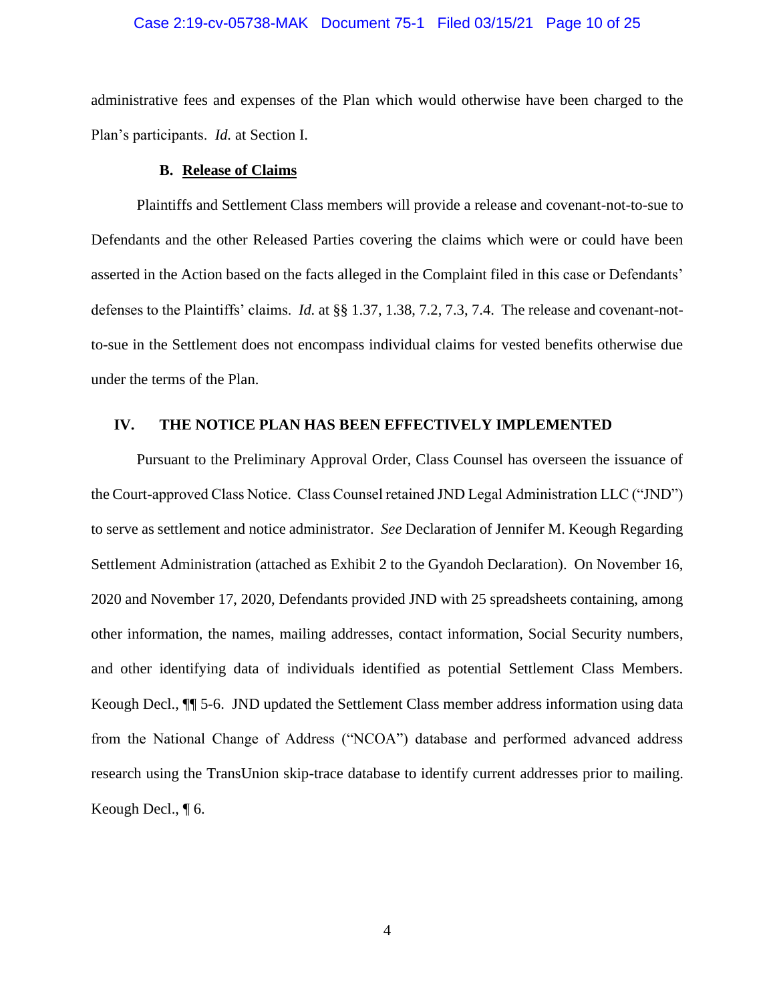#### Case 2:19-cv-05738-MAK Document 75-1 Filed 03/15/21 Page 10 of 25

administrative fees and expenses of the Plan which would otherwise have been charged to the Plan's participants. *Id.* at Section I.

#### **B. Release of Claims**

Plaintiffs and Settlement Class members will provide a release and covenant-not-to-sue to Defendants and the other Released Parties covering the claims which were or could have been asserted in the Action based on the facts alleged in the Complaint filed in this case or Defendants' defenses to the Plaintiffs' claims. *Id.* at §§ 1.37, 1.38, 7.2, 7.3, 7.4. The release and covenant-notto-sue in the Settlement does not encompass individual claims for vested benefits otherwise due under the terms of the Plan.

#### **IV. THE NOTICE PLAN HAS BEEN EFFECTIVELY IMPLEMENTED**

Pursuant to the Preliminary Approval Order, Class Counsel has overseen the issuance of the Court-approved Class Notice. Class Counsel retained JND Legal Administration LLC ("JND") to serve as settlement and notice administrator. *See* Declaration of Jennifer M. Keough Regarding Settlement Administration (attached as Exhibit 2 to the Gyandoh Declaration). On November 16, 2020 and November 17, 2020, Defendants provided JND with 25 spreadsheets containing, among other information, the names, mailing addresses, contact information, Social Security numbers, and other identifying data of individuals identified as potential Settlement Class Members. Keough Decl., ¶¶ 5-6. JND updated the Settlement Class member address information using data from the National Change of Address ("NCOA") database and performed advanced address research using the TransUnion skip-trace database to identify current addresses prior to mailing. Keough Decl., ¶ 6.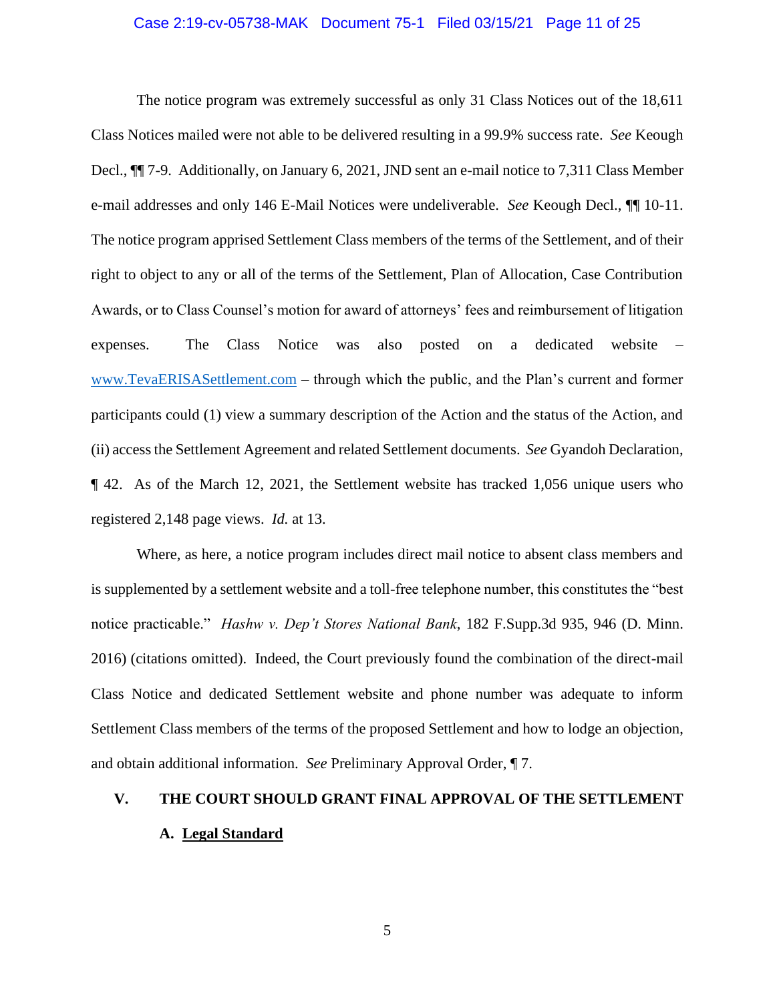#### Case 2:19-cv-05738-MAK Document 75-1 Filed 03/15/21 Page 11 of 25

The notice program was extremely successful as only 31 Class Notices out of the 18,611 Class Notices mailed were not able to be delivered resulting in a 99.9% success rate. *See* Keough Decl., ¶¶ 7-9. Additionally, on January 6, 2021, JND sent an e-mail notice to 7,311 Class Member e-mail addresses and only 146 E-Mail Notices were undeliverable. *See* Keough Decl., ¶¶ 10-11. The notice program apprised Settlement Class members of the terms of the Settlement, and of their right to object to any or all of the terms of the Settlement, Plan of Allocation, Case Contribution Awards, or to Class Counsel's motion for award of attorneys' fees and reimbursement of litigation expenses. The Class Notice was also posted on a dedicated website – [www.TevaERISASettlement.com](http://www.tevaerisasettlement.com/) – through which the public, and the Plan's current and former participants could (1) view a summary description of the Action and the status of the Action, and (ii) access the Settlement Agreement and related Settlement documents. *See* Gyandoh Declaration, ¶ 42. As of the March 12, 2021, the Settlement website has tracked 1,056 unique users who registered 2,148 page views. *Id.* at 13.

Where, as here, a notice program includes direct mail notice to absent class members and is supplemented by a settlement website and a toll-free telephone number, this constitutes the "best notice practicable." *Hashw v. Dep't Stores National Bank*, 182 F.Supp.3d 935, 946 (D. Minn. 2016) (citations omitted). Indeed, the Court previously found the combination of the direct-mail Class Notice and dedicated Settlement website and phone number was adequate to inform Settlement Class members of the terms of the proposed Settlement and how to lodge an objection, and obtain additional information. *See* Preliminary Approval Order, ¶ 7.

# **V. THE COURT SHOULD GRANT FINAL APPROVAL OF THE SETTLEMENT A. Legal Standard**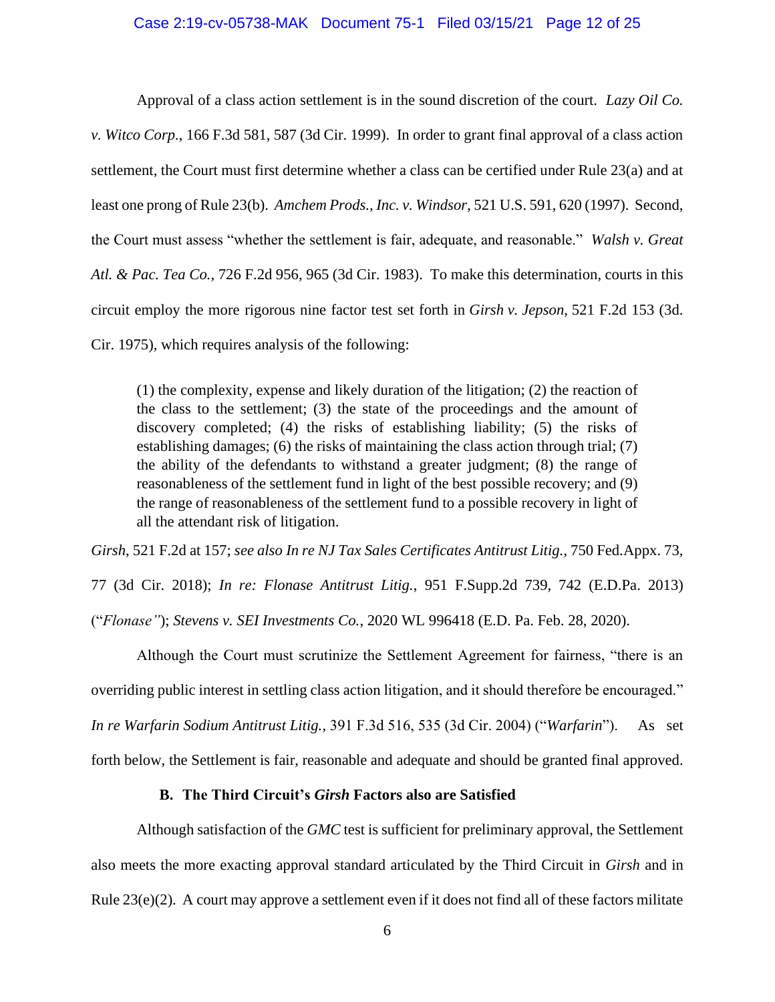#### Case 2:19-cv-05738-MAK Document 75-1 Filed 03/15/21 Page 12 of 25

Approval of a class action settlement is in the sound discretion of the court. *Lazy Oil Co. v. Witco Corp.*, 166 F.3d 581, 587 (3d Cir. 1999). In order to grant final approval of a class action settlement, the Court must first determine whether a class can be certified under Rule 23(a) and at least one prong of Rule 23(b). *Amchem Prods., Inc. v. Windsor*, 521 U.S. 591, 620 (1997). Second, the Court must assess "whether the settlement is fair, adequate, and reasonable." *Walsh v. Great Atl. & Pac. Tea Co.*, 726 F.2d 956, 965 (3d Cir. 1983). To make this determination, courts in this circuit employ the more rigorous nine factor test set forth in *Girsh v. Jepson*, 521 F.2d 153 (3d. Cir. 1975), which requires analysis of the following:

(1) the complexity, expense and likely duration of the litigation; (2) the reaction of the class to the settlement; (3) the state of the proceedings and the amount of discovery completed; (4) the risks of establishing liability; (5) the risks of establishing damages; (6) the risks of maintaining the class action through trial; (7) the ability of the defendants to withstand a greater judgment; (8) the range of reasonableness of the settlement fund in light of the best possible recovery; and (9) the range of reasonableness of the settlement fund to a possible recovery in light of all the attendant risk of litigation.

*Girsh*, 521 F.2d at 157; *see also In re NJ Tax Sales Certificates Antitrust Litig.*, 750 Fed.Appx. 73,

77 (3d Cir. 2018); *In re: Flonase Antitrust Litig.*, 951 F.Supp.2d 739, 742 (E.D.Pa. 2013)

("*Flonase"*); *Stevens v. SEI Investments Co.*, 2020 WL 996418 (E.D. Pa. Feb. 28, 2020).

Although the Court must scrutinize the Settlement Agreement for fairness, "there is an overriding public interest in settling class action litigation, and it should therefore be encouraged." *In re Warfarin Sodium Antitrust Litig.*, 391 F.3d 516, 535 (3d Cir. 2004) ("*Warfarin*"). As set forth below, the Settlement is fair, reasonable and adequate and should be granted final approved.

#### **B. The Third Circuit's** *Girsh* **Factors also are Satisfied**

Although satisfaction of the *GMC* test is sufficient for preliminary approval, the Settlement also meets the more exacting approval standard articulated by the Third Circuit in *Girsh* and in Rule 23(e)(2). A court may approve a settlement even if it does not find all of these factors militate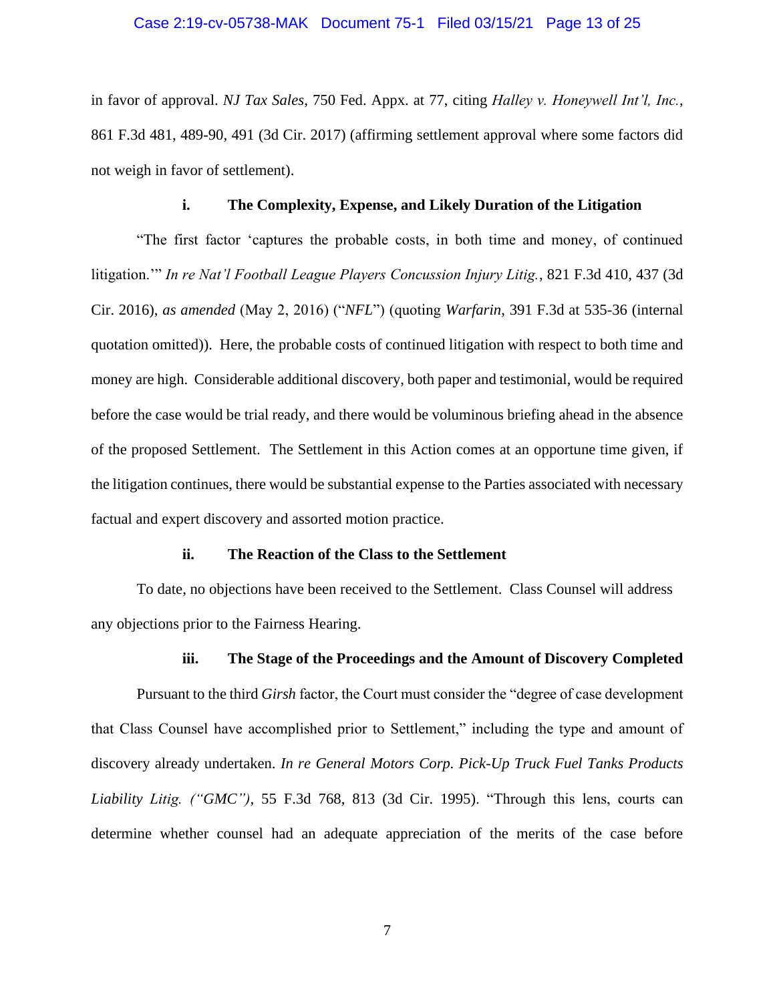#### Case 2:19-cv-05738-MAK Document 75-1 Filed 03/15/21 Page 13 of 25

in favor of approval. *NJ Tax Sales*, 750 Fed. Appx. at 77, citing *Halley v. Honeywell Int'l, Inc.*, 861 F.3d 481, 489-90, 491 (3d Cir. 2017) (affirming settlement approval where some factors did not weigh in favor of settlement).

#### **i. The Complexity, Expense, and Likely Duration of the Litigation**

"The first factor 'captures the probable costs, in both time and money, of continued litigation.'" *In re Nat'l Football League Players Concussion Injury Litig.*, 821 F.3d 410, 437 (3d Cir. 2016), *as amended* (May 2, 2016) ("*NFL*") (quoting *Warfarin*, 391 F.3d at 535-36 (internal quotation omitted)). Here, the probable costs of continued litigation with respect to both time and money are high. Considerable additional discovery, both paper and testimonial, would be required before the case would be trial ready, and there would be voluminous briefing ahead in the absence of the proposed Settlement. The Settlement in this Action comes at an opportune time given, if the litigation continues, there would be substantial expense to the Parties associated with necessary factual and expert discovery and assorted motion practice.

#### **ii. The Reaction of the Class to the Settlement**

To date, no objections have been received to the Settlement. Class Counsel will address any objections prior to the Fairness Hearing.

#### **iii. The Stage of the Proceedings and the Amount of Discovery Completed**

Pursuant to the third *Girsh* factor, the Court must consider the "degree of case development that Class Counsel have accomplished prior to Settlement," including the type and amount of discovery already undertaken. *In re General Motors Corp. Pick-Up Truck Fuel Tanks Products Liability Litig. ("GMC")*, 55 F.3d 768, 813 (3d Cir. 1995). "Through this lens, courts can determine whether counsel had an adequate appreciation of the merits of the case before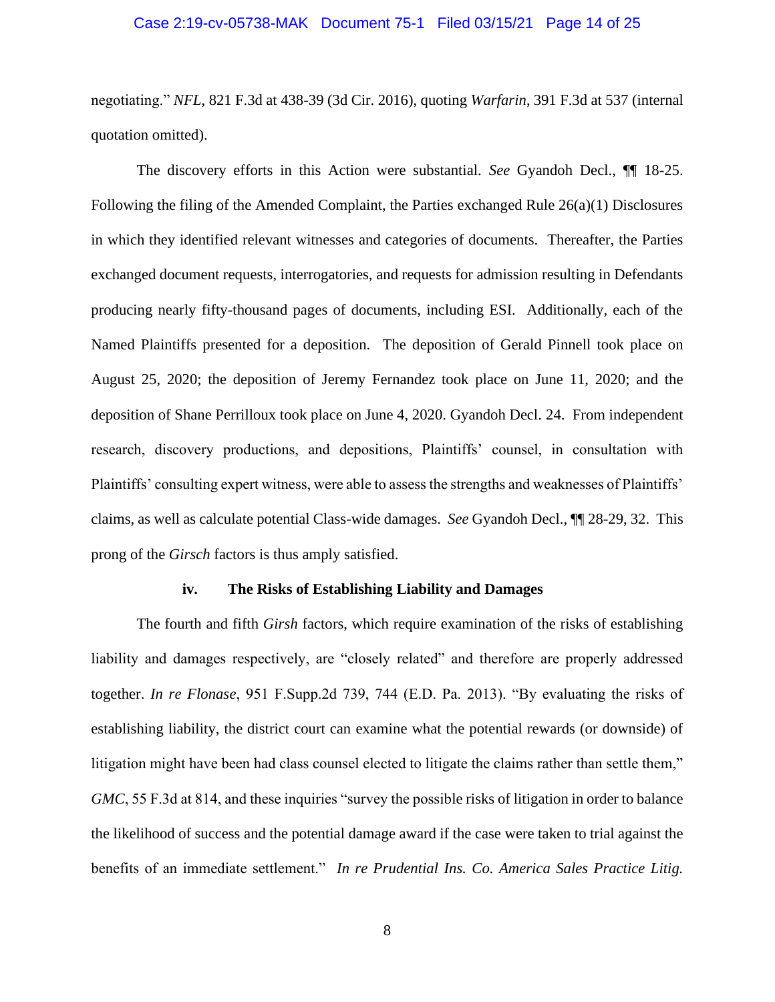#### Case 2:19-cv-05738-MAK Document 75-1 Filed 03/15/21 Page 14 of 25

negotiating." *NFL*, 821 F.3d at 438-39 (3d Cir. 2016), quoting *Warfarin*, 391 F.3d at 537 (internal quotation omitted).

The discovery efforts in this Action were substantial. *See* Gyandoh Decl., ¶¶ 18-25. Following the filing of the Amended Complaint, the Parties exchanged Rule 26(a)(1) Disclosures in which they identified relevant witnesses and categories of documents. Thereafter, the Parties exchanged document requests, interrogatories, and requests for admission resulting in Defendants producing nearly fifty-thousand pages of documents, including ESI. Additionally, each of the Named Plaintiffs presented for a deposition. The deposition of Gerald Pinnell took place on August 25, 2020; the deposition of Jeremy Fernandez took place on June 11, 2020; and the deposition of Shane Perrilloux took place on June 4, 2020. Gyandoh Decl. 24. From independent research, discovery productions, and depositions, Plaintiffs' counsel, in consultation with Plaintiffs' consulting expert witness, were able to assess the strengths and weaknesses of Plaintiffs' claims, as well as calculate potential Class-wide damages. *See* Gyandoh Decl., ¶¶ 28-29, 32. This prong of the *Girsch* factors is thus amply satisfied.

#### **iv. The Risks of Establishing Liability and Damages**

The fourth and fifth *Girsh* factors, which require examination of the risks of establishing liability and damages respectively, are "closely related" and therefore are properly addressed together. *In re Flonase*, 951 F.Supp.2d 739, 744 (E.D. Pa. 2013). "By evaluating the risks of establishing liability, the district court can examine what the potential rewards (or downside) of litigation might have been had class counsel elected to litigate the claims rather than settle them," *GMC*, 55 F.3d at 814, and these inquiries "survey the possible risks of litigation in order to balance the likelihood of success and the potential damage award if the case were taken to trial against the benefits of an immediate settlement." *In re Prudential Ins. Co. America Sales Practice Litig.*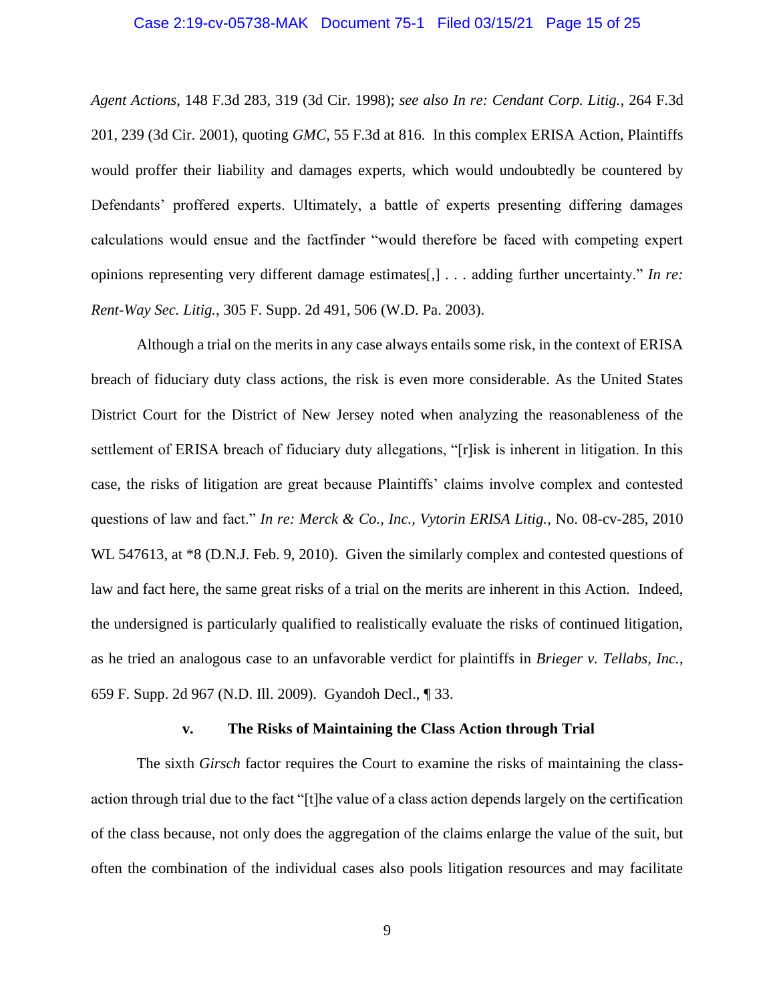#### Case 2:19-cv-05738-MAK Document 75-1 Filed 03/15/21 Page 15 of 25

*Agent Actions*, 148 F.3d 283, 319 (3d Cir. 1998); *see also In re: Cendant Corp. Litig.*, 264 F.3d 201, 239 (3d Cir. 2001), quoting *GMC*, 55 F.3d at 816. In this complex ERISA Action, Plaintiffs would proffer their liability and damages experts, which would undoubtedly be countered by Defendants' proffered experts. Ultimately, a battle of experts presenting differing damages calculations would ensue and the factfinder "would therefore be faced with competing expert opinions representing very different damage estimates[,] . . . adding further uncertainty." *In re: Rent-Way Sec. Litig.*, 305 F. Supp. 2d 491, 506 (W.D. Pa. 2003).

Although a trial on the merits in any case always entails some risk, in the context of ERISA breach of fiduciary duty class actions, the risk is even more considerable. As the United States District Court for the District of New Jersey noted when analyzing the reasonableness of the settlement of ERISA breach of fiduciary duty allegations, "[r]isk is inherent in litigation. In this case, the risks of litigation are great because Plaintiffs' claims involve complex and contested questions of law and fact." *In re: Merck & Co., Inc., Vytorin ERISA Litig.*, No. 08-cv-285, 2010 WL 547613, at  $*8$  (D.N.J. Feb. 9, 2010). Given the similarly complex and contested questions of law and fact here, the same great risks of a trial on the merits are inherent in this Action. Indeed, the undersigned is particularly qualified to realistically evaluate the risks of continued litigation, as he tried an analogous case to an unfavorable verdict for plaintiffs in *Brieger v. Tellabs, Inc.*, 659 F. Supp. 2d 967 (N.D. Ill. 2009). Gyandoh Decl., ¶ 33.

#### **v. The Risks of Maintaining the Class Action through Trial**

The sixth *Girsch* factor requires the Court to examine the risks of maintaining the classaction through trial due to the fact "[t]he value of a class action depends largely on the certification of the class because, not only does the aggregation of the claims enlarge the value of the suit, but often the combination of the individual cases also pools litigation resources and may facilitate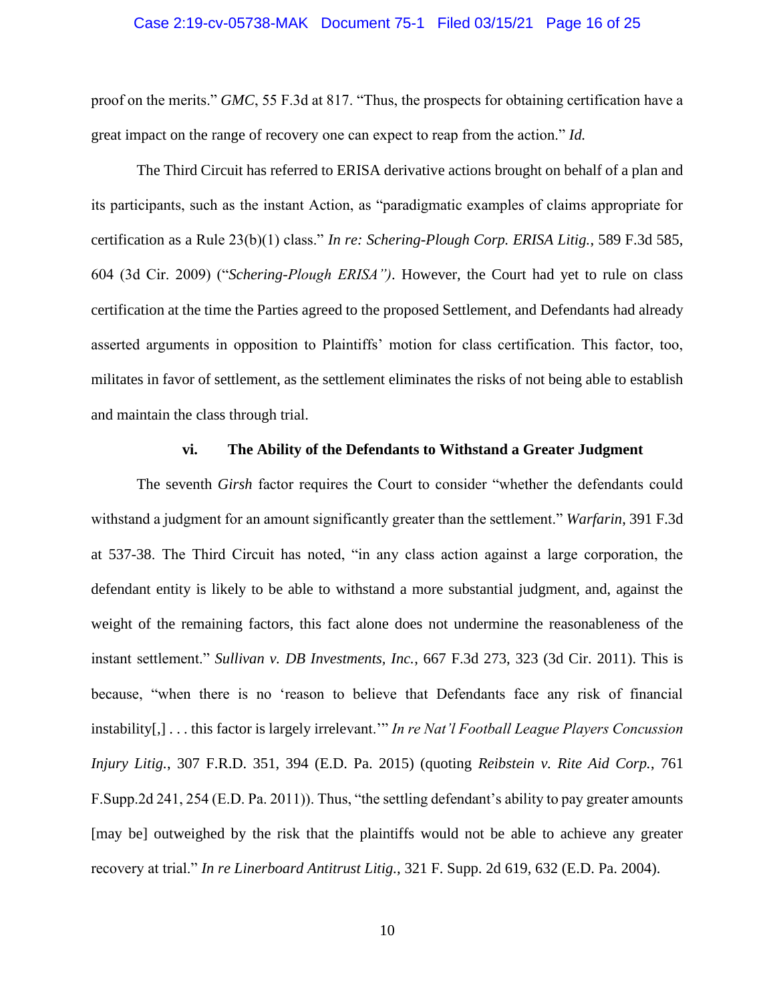#### Case 2:19-cv-05738-MAK Document 75-1 Filed 03/15/21 Page 16 of 25

proof on the merits." *GMC*, 55 F.3d at 817. "Thus, the prospects for obtaining certification have a great impact on the range of recovery one can expect to reap from the action." *Id.* 

The Third Circuit has referred to ERISA derivative actions brought on behalf of a plan and its participants, such as the instant Action, as "paradigmatic examples of claims appropriate for certification as a Rule 23(b)(1) class." *In re: Schering-Plough Corp. ERISA Litig.*, 589 F.3d 585, 604 (3d Cir. 2009) ("*Schering-Plough ERISA")*. However, the Court had yet to rule on class certification at the time the Parties agreed to the proposed Settlement, and Defendants had already asserted arguments in opposition to Plaintiffs' motion for class certification. This factor, too, militates in favor of settlement, as the settlement eliminates the risks of not being able to establish and maintain the class through trial.

#### **vi. The Ability of the Defendants to Withstand a Greater Judgment**

The seventh *Girsh* factor requires the Court to consider "whether the defendants could withstand a judgment for an amount significantly greater than the settlement." *Warfarin*, 391 F.3d at 537-38. The Third Circuit has noted, "in any class action against a large corporation, the defendant entity is likely to be able to withstand a more substantial judgment, and, against the weight of the remaining factors, this fact alone does not undermine the reasonableness of the instant settlement." *Sullivan v. DB Investments, Inc.*, 667 F.3d 273, 323 (3d Cir. 2011). This is because, "when there is no 'reason to believe that Defendants face any risk of financial instability[,] . . . this factor is largely irrelevant.'" *In re Nat'l Football League Players Concussion Injury Litig.*, 307 F.R.D. 351, 394 (E.D. Pa. 2015) (quoting *Reibstein v. Rite Aid Corp.*, 761 F.Supp.2d 241, 254 (E.D. Pa. 2011)). Thus, "the settling defendant's ability to pay greater amounts [may be] outweighed by the risk that the plaintiffs would not be able to achieve any greater recovery at trial." *In re Linerboard Antitrust Litig.*, 321 F. Supp. 2d 619, 632 (E.D. Pa. 2004).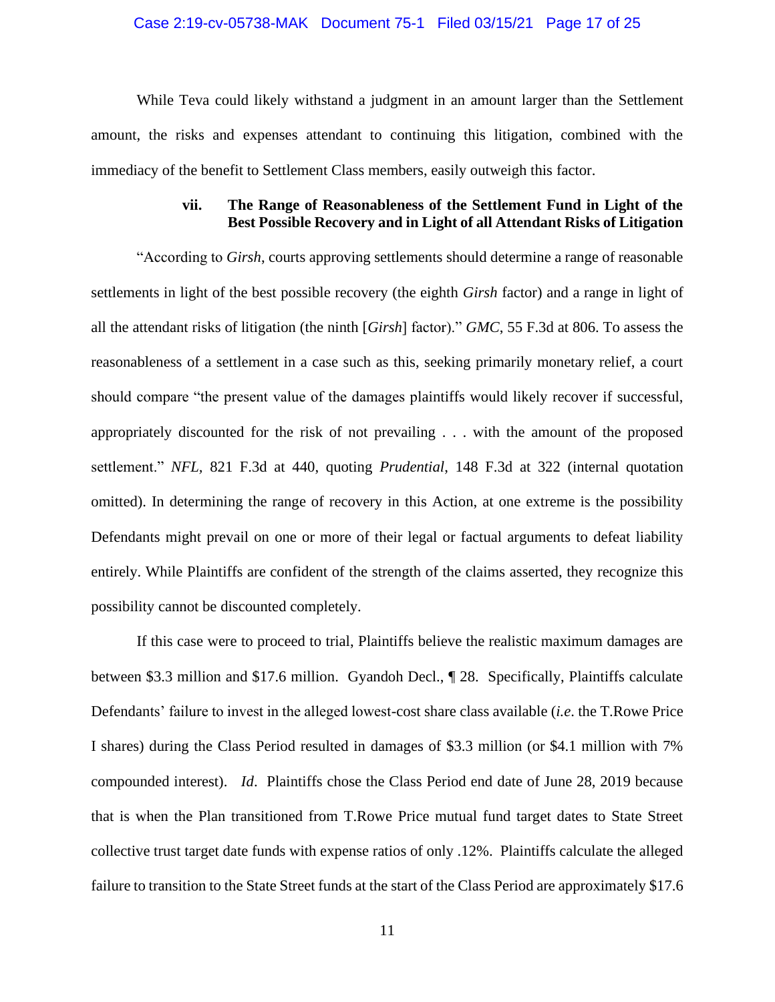#### Case 2:19-cv-05738-MAK Document 75-1 Filed 03/15/21 Page 17 of 25

While Teva could likely withstand a judgment in an amount larger than the Settlement amount, the risks and expenses attendant to continuing this litigation, combined with the immediacy of the benefit to Settlement Class members, easily outweigh this factor.

## **vii. The Range of Reasonableness of the Settlement Fund in Light of the Best Possible Recovery and in Light of all Attendant Risks of Litigation**

"According to *Girsh*, courts approving settlements should determine a range of reasonable settlements in light of the best possible recovery (the eighth *Girsh* factor) and a range in light of all the attendant risks of litigation (the ninth [*Girsh*] factor)." *GMC*, 55 F.3d at 806. To assess the reasonableness of a settlement in a case such as this, seeking primarily monetary relief, a court should compare "the present value of the damages plaintiffs would likely recover if successful, appropriately discounted for the risk of not prevailing . . . with the amount of the proposed settlement." *NFL,* 821 F.3d at 440, quoting *Prudential*, 148 F.3d at 322 (internal quotation omitted). In determining the range of recovery in this Action, at one extreme is the possibility Defendants might prevail on one or more of their legal or factual arguments to defeat liability entirely. While Plaintiffs are confident of the strength of the claims asserted, they recognize this possibility cannot be discounted completely.

If this case were to proceed to trial, Plaintiffs believe the realistic maximum damages are between \$3.3 million and \$17.6 million. Gyandoh Decl., ¶ 28. Specifically, Plaintiffs calculate Defendants' failure to invest in the alleged lowest-cost share class available (*i.e*. the T.Rowe Price I shares) during the Class Period resulted in damages of \$3.3 million (or \$4.1 million with 7% compounded interest). *Id*. Plaintiffs chose the Class Period end date of June 28, 2019 because that is when the Plan transitioned from T.Rowe Price mutual fund target dates to State Street collective trust target date funds with expense ratios of only .12%. Plaintiffs calculate the alleged failure to transition to the State Street funds at the start of the Class Period are approximately \$17.6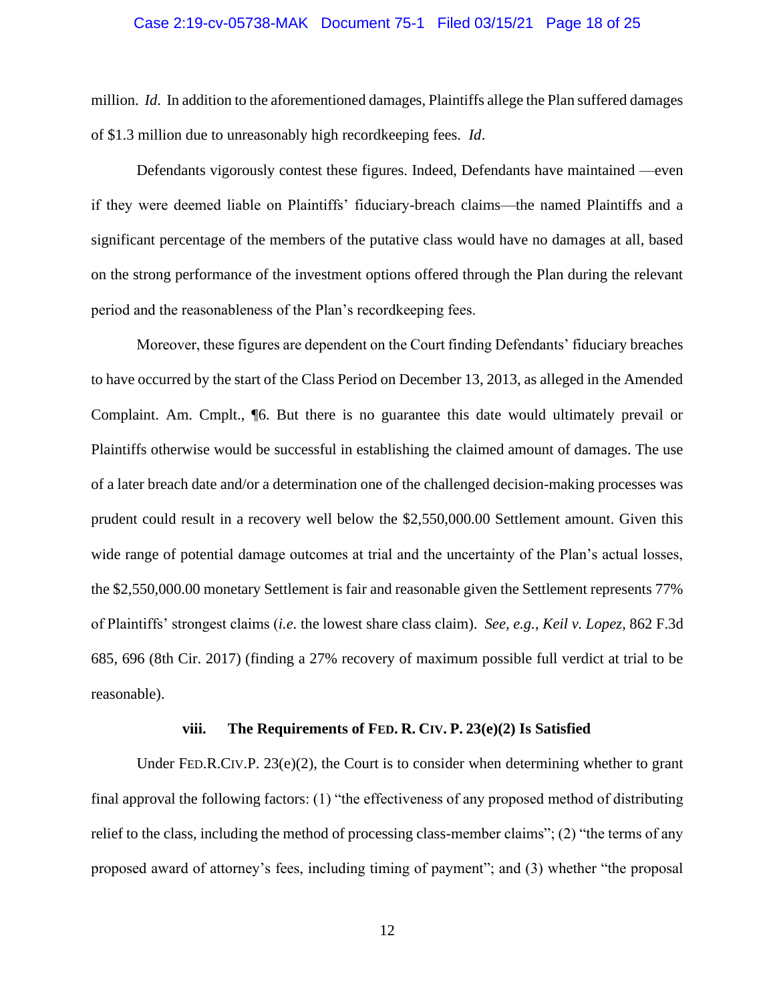#### Case 2:19-cv-05738-MAK Document 75-1 Filed 03/15/21 Page 18 of 25

million. *Id*. In addition to the aforementioned damages, Plaintiffs allege the Plan suffered damages of \$1.3 million due to unreasonably high recordkeeping fees. *Id*.

Defendants vigorously contest these figures. Indeed, Defendants have maintained —even if they were deemed liable on Plaintiffs' fiduciary-breach claims—the named Plaintiffs and a significant percentage of the members of the putative class would have no damages at all, based on the strong performance of the investment options offered through the Plan during the relevant period and the reasonableness of the Plan's recordkeeping fees.

Moreover, these figures are dependent on the Court finding Defendants' fiduciary breaches to have occurred by the start of the Class Period on December 13, 2013, as alleged in the Amended Complaint. Am. Cmplt., ¶6. But there is no guarantee this date would ultimately prevail or Plaintiffs otherwise would be successful in establishing the claimed amount of damages. The use of a later breach date and/or a determination one of the challenged decision-making processes was prudent could result in a recovery well below the \$2,550,000.00 Settlement amount. Given this wide range of potential damage outcomes at trial and the uncertainty of the Plan's actual losses, the \$2,550,000.00 monetary Settlement is fair and reasonable given the Settlement represents 77% of Plaintiffs' strongest claims (*i.e.* the lowest share class claim). *See, e.g.*, *Keil v. Lopez*, 862 F.3d 685, 696 (8th Cir. 2017) (finding a 27% recovery of maximum possible full verdict at trial to be reasonable).

#### **viii. The Requirements of FED. R. CIV. P. 23(e)(2) Is Satisfied**

Under FED.R.CIV.P.  $23(e)(2)$ , the Court is to consider when determining whether to grant final approval the following factors: (1) "the effectiveness of any proposed method of distributing relief to the class, including the method of processing class-member claims"; (2) "the terms of any proposed award of attorney's fees, including timing of payment"; and (3) whether "the proposal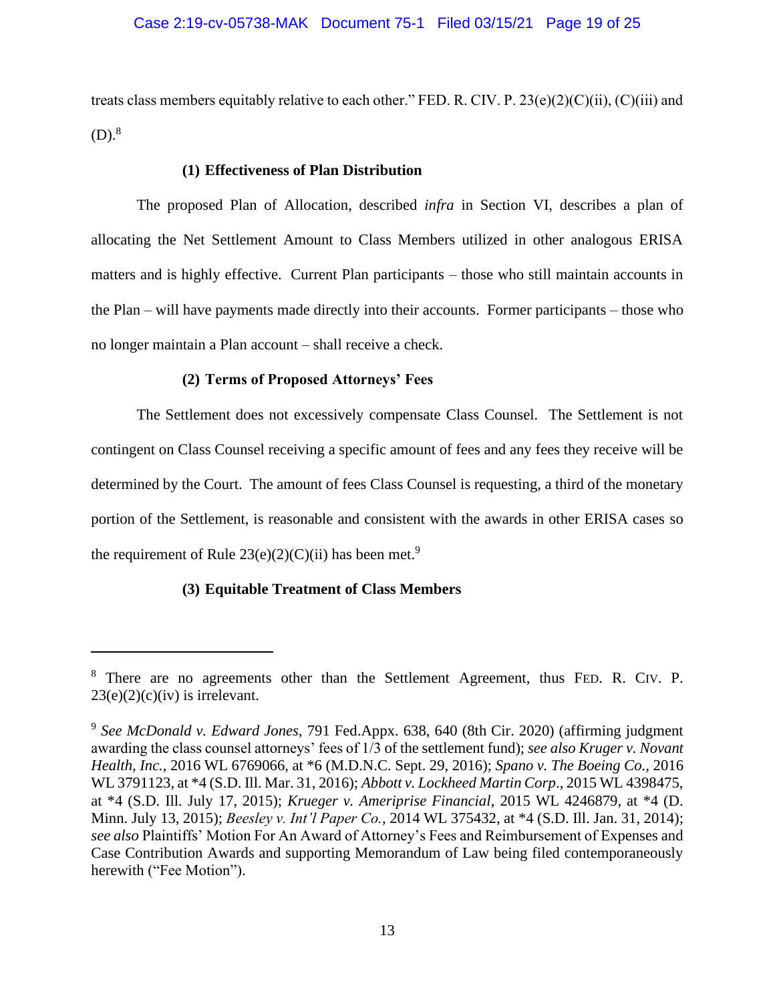#### Case 2:19-cv-05738-MAK Document 75-1 Filed 03/15/21 Page 19 of 25

treats class members equitably relative to each other." FED. R. CIV. P.  $23(e)(2)(C)(ii)$ ,  $(C)(iii)$  and  $(D).^{8}$ 

#### **(1) Effectiveness of Plan Distribution**

The proposed Plan of Allocation, described *infra* in Section VI, describes a plan of allocating the Net Settlement Amount to Class Members utilized in other analogous ERISA matters and is highly effective. Current Plan participants – those who still maintain accounts in the Plan – will have payments made directly into their accounts. Former participants – those who no longer maintain a Plan account – shall receive a check.

#### **(2) Terms of Proposed Attorneys' Fees**

The Settlement does not excessively compensate Class Counsel. The Settlement is not contingent on Class Counsel receiving a specific amount of fees and any fees they receive will be determined by the Court. The amount of fees Class Counsel is requesting, a third of the monetary portion of the Settlement, is reasonable and consistent with the awards in other ERISA cases so the requirement of Rule  $23(e)(2)(C)(ii)$  has been met.<sup>9</sup>

### **(3) Equitable Treatment of Class Members**

<sup>8</sup> There are no agreements other than the Settlement Agreement, thus FED. R. CIV. P.  $23(e)(2)(c)(iv)$  is irrelevant.

<sup>9</sup> *See McDonald v. Edward Jones*, 791 Fed.Appx. 638, 640 (8th Cir. 2020) (affirming judgment awarding the class counsel attorneys' fees of 1/3 of the settlement fund); *see also Kruger v. Novant Health, Inc.*, 2016 WL 6769066, at \*6 (M.D.N.C. Sept. 29, 2016); *Spano v. The Boeing Co.,* 2016 WL 3791123, at \*4 (S.D. Ill. Mar. 31, 2016); *Abbott v. Lockheed Martin Corp*., 2015 WL 4398475, at \*4 (S.D. Ill. July 17, 2015); *Krueger v. Ameriprise Financial*, 2015 WL 4246879, at \*4 (D. Minn. July 13, 2015); *Beesley v. Int'l Paper Co.*, 2014 WL 375432, at \*4 (S.D. Ill. Jan. 31, 2014); *see also* Plaintiffs' Motion For An Award of Attorney's Fees and Reimbursement of Expenses and Case Contribution Awards and supporting Memorandum of Law being filed contemporaneously herewith ("Fee Motion").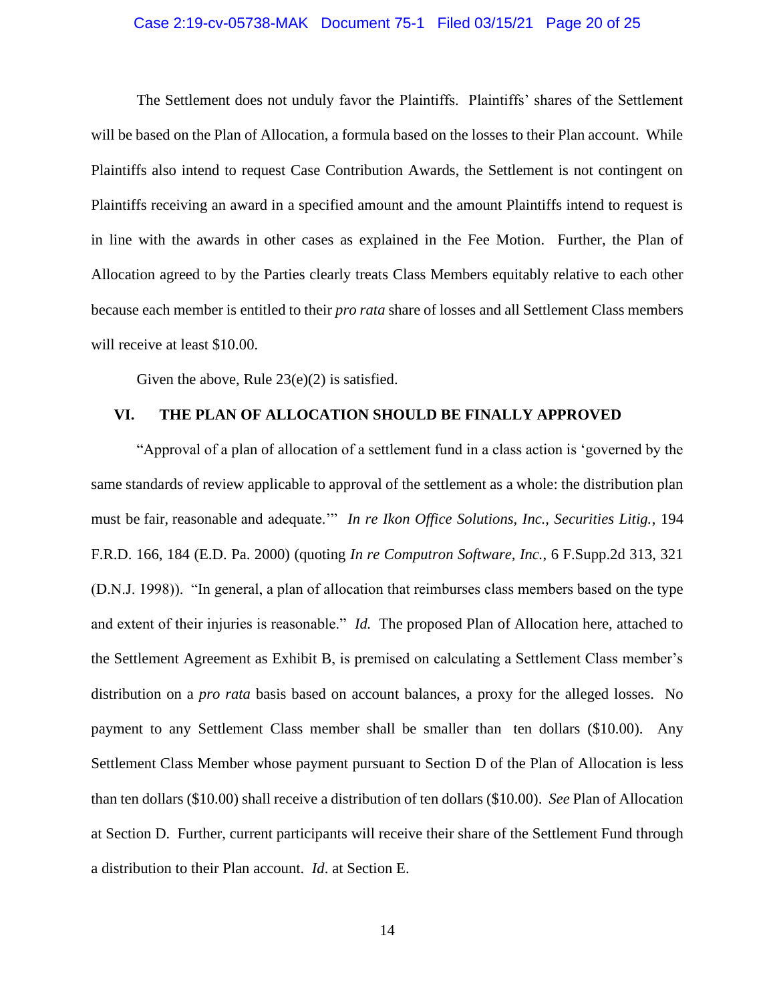#### Case 2:19-cv-05738-MAK Document 75-1 Filed 03/15/21 Page 20 of 25

The Settlement does not unduly favor the Plaintiffs. Plaintiffs' shares of the Settlement will be based on the Plan of Allocation, a formula based on the losses to their Plan account. While Plaintiffs also intend to request Case Contribution Awards, the Settlement is not contingent on Plaintiffs receiving an award in a specified amount and the amount Plaintiffs intend to request is in line with the awards in other cases as explained in the Fee Motion. Further, the Plan of Allocation agreed to by the Parties clearly treats Class Members equitably relative to each other because each member is entitled to their *pro rata* share of losses and all Settlement Class members will receive at least \$10.00.

Given the above, Rule  $23(e)(2)$  is satisfied.

#### **VI. THE PLAN OF ALLOCATION SHOULD BE FINALLY APPROVED**

"Approval of a plan of allocation of a settlement fund in a class action is 'governed by the same standards of review applicable to approval of the settlement as a whole: the distribution plan must be fair, reasonable and adequate.'" *In re Ikon Office Solutions, Inc., Securities Litig.*, 194 F.R.D. 166, 184 (E.D. Pa. 2000) (quoting *In re Computron Software, Inc.*, 6 F.Supp.2d 313, 321 (D.N.J. 1998)). "In general, a plan of allocation that reimburses class members based on the type and extent of their injuries is reasonable." *Id.* The proposed Plan of Allocation here, attached to the Settlement Agreement as Exhibit B, is premised on calculating a Settlement Class member's distribution on a *pro rata* basis based on account balances, a proxy for the alleged losses. No payment to any Settlement Class member shall be smaller than ten dollars (\$10.00). Any Settlement Class Member whose payment pursuant to Section D of the Plan of Allocation is less than ten dollars (\$10.00) shall receive a distribution of ten dollars (\$10.00). *See* Plan of Allocation at Section D. Further, current participants will receive their share of the Settlement Fund through a distribution to their Plan account. *Id*. at Section E.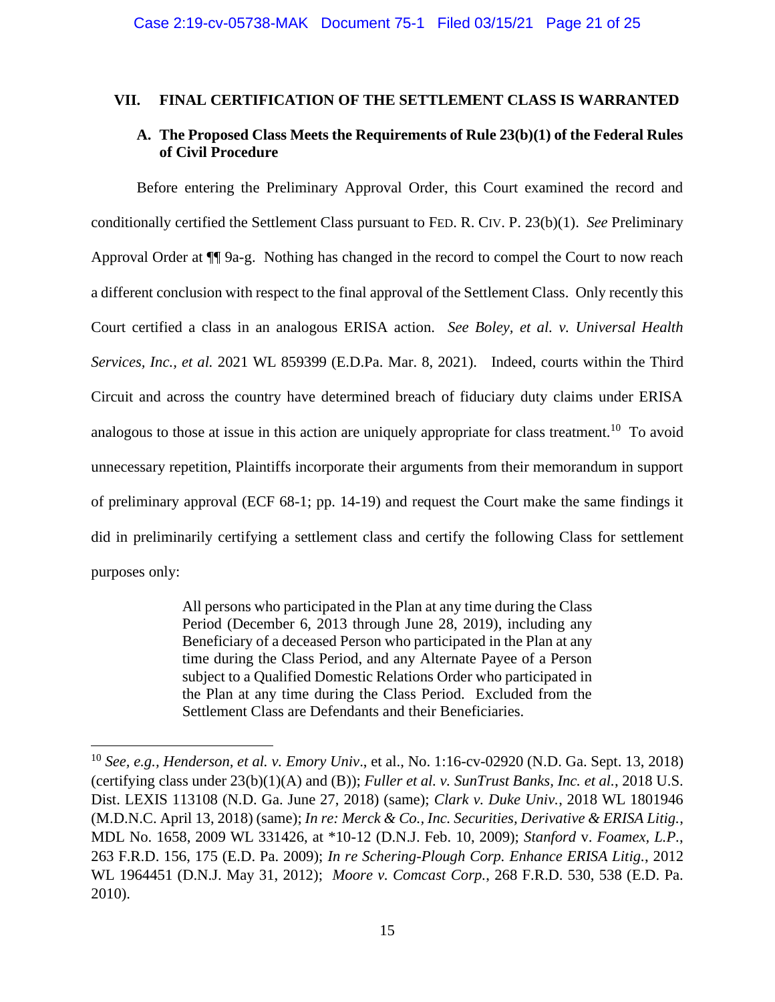## **VII. FINAL CERTIFICATION OF THE SETTLEMENT CLASS IS WARRANTED**

## **A. The Proposed Class Meets the Requirements of Rule 23(b)(1) of the Federal Rules of Civil Procedure**

Before entering the Preliminary Approval Order, this Court examined the record and conditionally certified the Settlement Class pursuant to FED. R. CIV. P. 23(b)(1). *See* Preliminary Approval Order at ¶¶ 9a-g. Nothing has changed in the record to compel the Court to now reach a different conclusion with respect to the final approval of the Settlement Class. Only recently this Court certified a class in an analogous ERISA action. *See Boley, et al. v. Universal Health Services, Inc., et al.* 2021 WL 859399 (E.D.Pa. Mar. 8, 2021). Indeed, courts within the Third Circuit and across the country have determined breach of fiduciary duty claims under ERISA analogous to those at issue in this action are uniquely appropriate for class treatment.<sup>10</sup> To avoid unnecessary repetition, Plaintiffs incorporate their arguments from their memorandum in support of preliminary approval (ECF 68-1; pp. 14-19) and request the Court make the same findings it did in preliminarily certifying a settlement class and certify the following Class for settlement purposes only:

> All persons who participated in the Plan at any time during the Class Period (December 6, 2013 through June 28, 2019), including any Beneficiary of a deceased Person who participated in the Plan at any time during the Class Period, and any Alternate Payee of a Person subject to a Qualified Domestic Relations Order who participated in the Plan at any time during the Class Period. Excluded from the Settlement Class are Defendants and their Beneficiaries.

<sup>10</sup> *See, e.g., Henderson, et al. v. Emory Univ*., et al., No. 1:16-cv-02920 (N.D. Ga. Sept. 13, 2018) (certifying class under 23(b)(1)(A) and (B)); *Fuller et al. v. SunTrust Banks, Inc. et al.*, 2018 U.S. Dist. LEXIS 113108 (N.D. Ga. June 27, 2018) (same); *Clark v. Duke Univ.*, 2018 WL 1801946 (M.D.N.C. April 13, 2018) (same); *In re: Merck & Co., Inc. Securities, Derivative & ERISA Litig.*, MDL No. 1658, 2009 WL 331426, at \*10-12 (D.N.J. Feb. 10, 2009); *Stanford* v. *Foamex, L.P.*, 263 F.R.D. 156, 175 (E.D. Pa. 2009); *In re Schering-Plough Corp. Enhance ERISA Litig.*, 2012 WL 1964451 (D.N.J. May 31, 2012); *Moore v. Comcast Corp.*, 268 F.R.D. 530, 538 (E.D. Pa. 2010).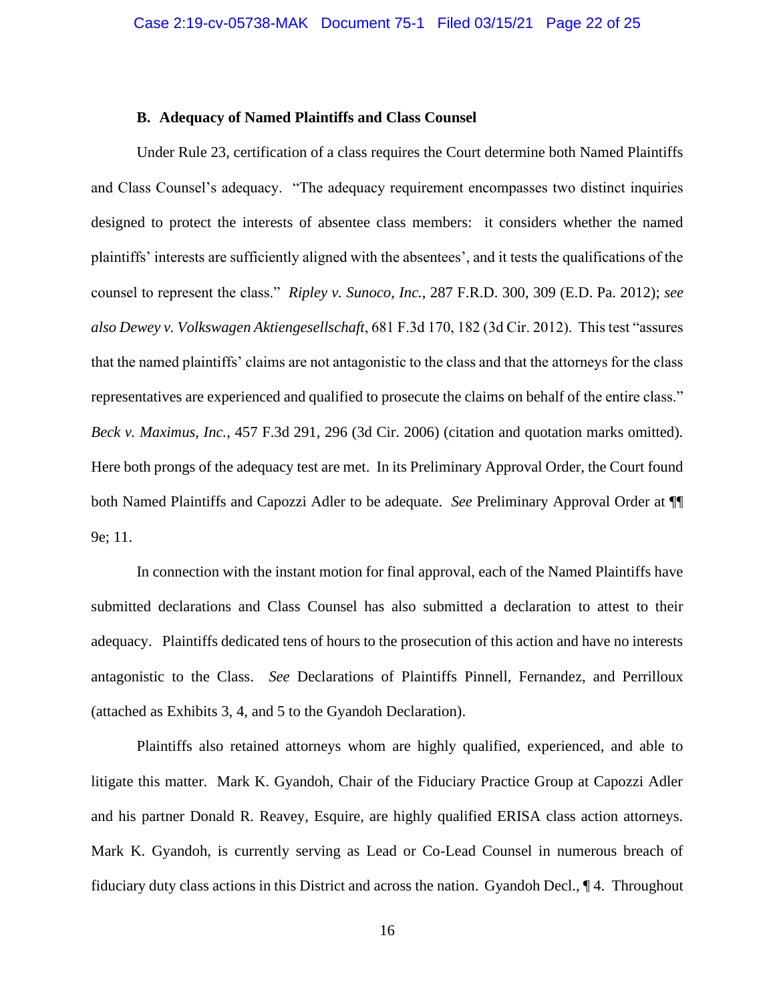#### **B. Adequacy of Named Plaintiffs and Class Counsel**

Under Rule 23, certification of a class requires the Court determine both Named Plaintiffs and Class Counsel's adequacy. "The adequacy requirement encompasses two distinct inquiries designed to protect the interests of absentee class members: it considers whether the named plaintiffs' interests are sufficiently aligned with the absentees', and it tests the qualifications of the counsel to represent the class." *Ripley v. Sunoco, Inc.*, 287 F.R.D. 300, 309 (E.D. Pa. 2012); *see also Dewey v. Volkswagen Aktiengesellschaft*, 681 F.3d 170, 182 (3d Cir. 2012). This test "assures that the named plaintiffs' claims are not antagonistic to the class and that the attorneys for the class representatives are experienced and qualified to prosecute the claims on behalf of the entire class." *Beck v. Maximus, Inc.*, 457 F.3d 291, 296 (3d Cir. 2006) (citation and quotation marks omitted). Here both prongs of the adequacy test are met. In its Preliminary Approval Order, the Court found both Named Plaintiffs and Capozzi Adler to be adequate. *See* Preliminary Approval Order at ¶¶ 9e; 11.

In connection with the instant motion for final approval, each of the Named Plaintiffs have submitted declarations and Class Counsel has also submitted a declaration to attest to their adequacy. Plaintiffs dedicated tens of hours to the prosecution of this action and have no interests antagonistic to the Class. *See* Declarations of Plaintiffs Pinnell, Fernandez, and Perrilloux (attached as Exhibits 3, 4, and 5 to the Gyandoh Declaration).

Plaintiffs also retained attorneys whom are highly qualified, experienced, and able to litigate this matter. Mark K. Gyandoh, Chair of the Fiduciary Practice Group at Capozzi Adler and his partner Donald R. Reavey, Esquire, are highly qualified ERISA class action attorneys. Mark K. Gyandoh, is currently serving as Lead or Co-Lead Counsel in numerous breach of fiduciary duty class actions in this District and across the nation. Gyandoh Decl., ¶ 4. Throughout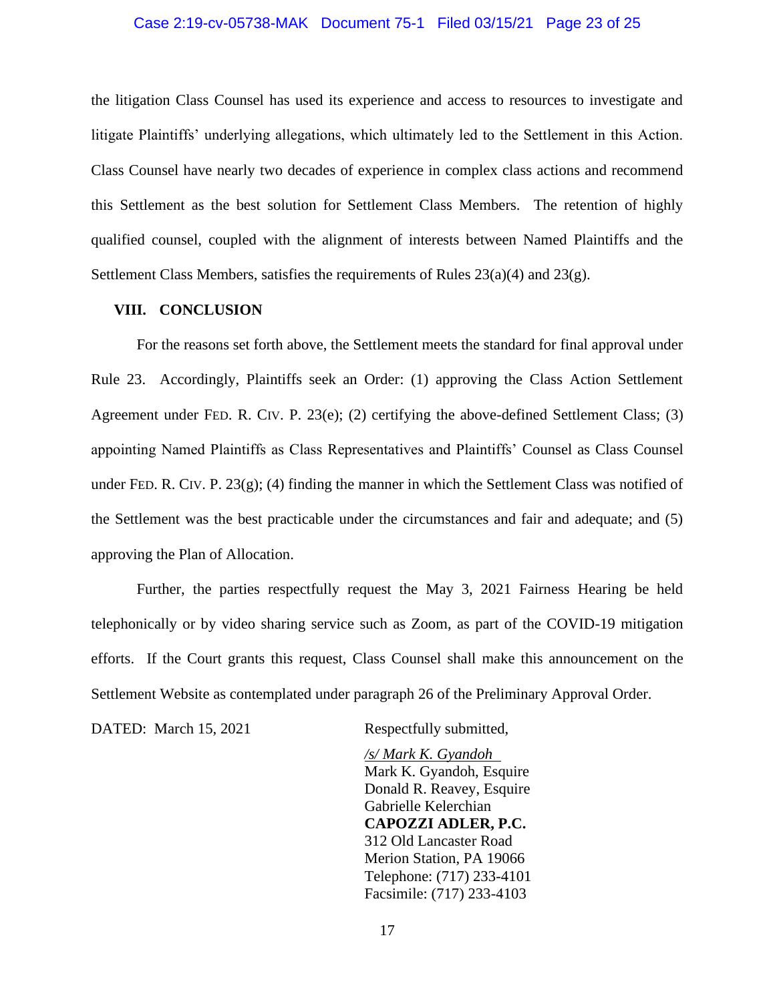#### Case 2:19-cv-05738-MAK Document 75-1 Filed 03/15/21 Page 23 of 25

the litigation Class Counsel has used its experience and access to resources to investigate and litigate Plaintiffs' underlying allegations, which ultimately led to the Settlement in this Action. Class Counsel have nearly two decades of experience in complex class actions and recommend this Settlement as the best solution for Settlement Class Members. The retention of highly qualified counsel, coupled with the alignment of interests between Named Plaintiffs and the Settlement Class Members, satisfies the requirements of Rules 23(a)(4) and 23(g).

#### **VIII. CONCLUSION**

For the reasons set forth above, the Settlement meets the standard for final approval under Rule 23. Accordingly, Plaintiffs seek an Order: (1) approving the Class Action Settlement Agreement under FED. R. CIV. P. 23(e); (2) certifying the above-defined Settlement Class; (3) appointing Named Plaintiffs as Class Representatives and Plaintiffs' Counsel as Class Counsel under FED. R. CIV. P. 23(g); (4) finding the manner in which the Settlement Class was notified of the Settlement was the best practicable under the circumstances and fair and adequate; and (5) approving the Plan of Allocation.

Further, the parties respectfully request the May 3, 2021 Fairness Hearing be held telephonically or by video sharing service such as Zoom, as part of the COVID-19 mitigation efforts. If the Court grants this request, Class Counsel shall make this announcement on the Settlement Website as contemplated under paragraph 26 of the Preliminary Approval Order.

DATED: March 15, 2021 Respectfully submitted,

*/s/ Mark K. Gyandoh* Mark K. Gyandoh, Esquire Donald R. Reavey, Esquire Gabrielle Kelerchian **CAPOZZI ADLER, P.C.** 312 Old Lancaster Road Merion Station, PA 19066 Telephone: (717) 233-4101 Facsimile: (717) 233-4103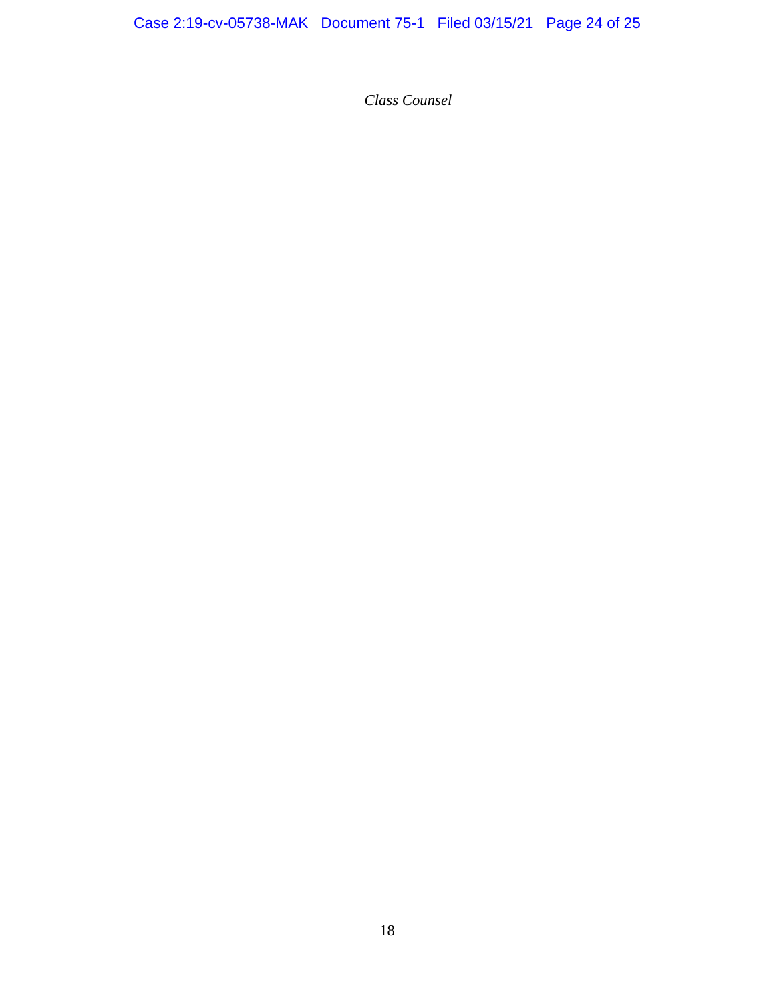*Class Counsel*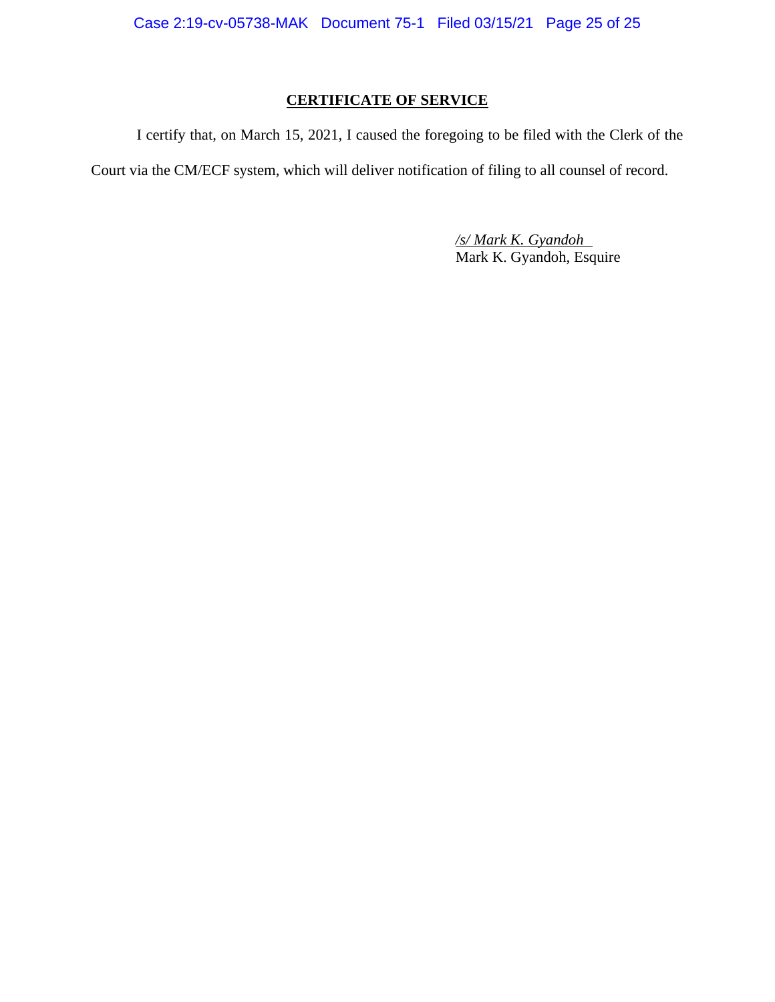Case 2:19-cv-05738-MAK Document 75-1 Filed 03/15/21 Page 25 of 25

## **CERTIFICATE OF SERVICE**

I certify that, on March 15, 2021, I caused the foregoing to be filed with the Clerk of the Court via the CM/ECF system, which will deliver notification of filing to all counsel of record.

> */s/ Mark K. Gyandoh* Mark K. Gyandoh, Esquire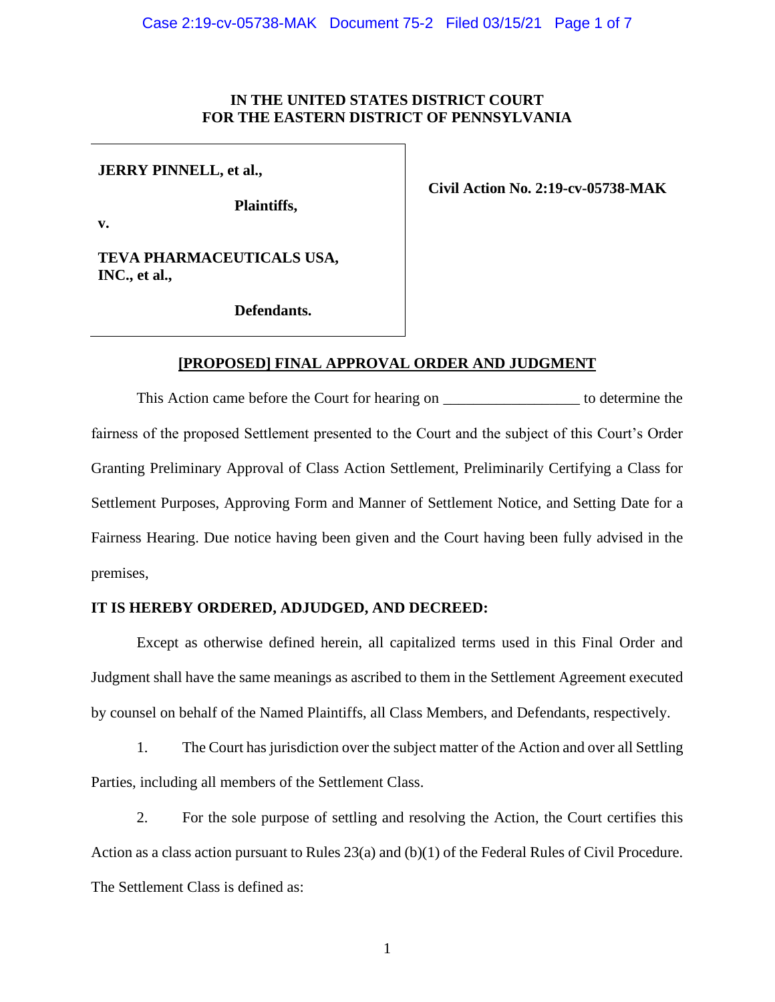## **IN THE UNITED STATES DISTRICT COURT FOR THE EASTERN DISTRICT OF PENNSYLVANIA**

## **JERRY PINNELL, et al.,**

**v.**

**Plaintiffs,**

**Civil Action No. 2:19-cv-05738-MAK**

**TEVA PHARMACEUTICALS USA, INC., et al.,** 

**Defendants.**

## **[PROPOSED] FINAL APPROVAL ORDER AND JUDGMENT**

This Action came before the Court for hearing on \_\_\_\_\_\_\_\_\_\_\_\_\_\_\_\_\_\_\_\_\_\_ to determine the fairness of the proposed Settlement presented to the Court and the subject of this Court's Order Granting Preliminary Approval of Class Action Settlement, Preliminarily Certifying a Class for Settlement Purposes, Approving Form and Manner of Settlement Notice, and Setting Date for a Fairness Hearing. Due notice having been given and the Court having been fully advised in the premises,

## **IT IS HEREBY ORDERED, ADJUDGED, AND DECREED:**

Except as otherwise defined herein, all capitalized terms used in this Final Order and Judgment shall have the same meanings as ascribed to them in the Settlement Agreement executed by counsel on behalf of the Named Plaintiffs, all Class Members, and Defendants, respectively.

1. The Court has jurisdiction over the subject matter of the Action and over all Settling Parties, including all members of the Settlement Class.

2. For the sole purpose of settling and resolving the Action, the Court certifies this Action as a class action pursuant to Rules 23(a) and (b)(1) of the Federal Rules of Civil Procedure. The Settlement Class is defined as: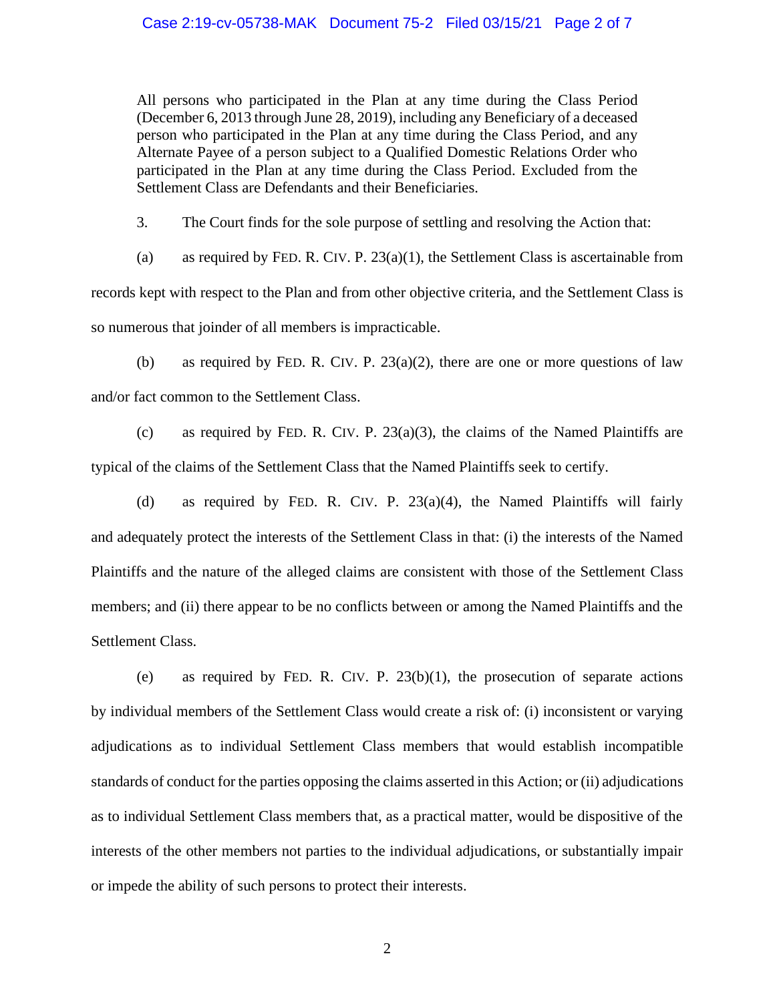#### Case 2:19-cv-05738-MAK Document 75-2 Filed 03/15/21 Page 2 of 7

All persons who participated in the Plan at any time during the Class Period (December 6, 2013 through June 28, 2019), including any Beneficiary of a deceased person who participated in the Plan at any time during the Class Period, and any Alternate Payee of a person subject to a Qualified Domestic Relations Order who participated in the Plan at any time during the Class Period. Excluded from the Settlement Class are Defendants and their Beneficiaries.

3. The Court finds for the sole purpose of settling and resolving the Action that:

(a) as required by FED. R. CIV. P.  $23(a)(1)$ , the Settlement Class is ascertainable from records kept with respect to the Plan and from other objective criteria, and the Settlement Class is so numerous that joinder of all members is impracticable.

(b) as required by FED. R. CIV. P.  $23(a)(2)$ , there are one or more questions of law and/or fact common to the Settlement Class.

(c) as required by FED. R. CIV. P. 23(a)(3), the claims of the Named Plaintiffs are typical of the claims of the Settlement Class that the Named Plaintiffs seek to certify.

(d) as required by FED. R. CIV. P. 23(a)(4), the Named Plaintiffs will fairly and adequately protect the interests of the Settlement Class in that: (i) the interests of the Named Plaintiffs and the nature of the alleged claims are consistent with those of the Settlement Class members; and (ii) there appear to be no conflicts between or among the Named Plaintiffs and the Settlement Class.

(e) as required by FED. R. CIV. P.  $23(b)(1)$ , the prosecution of separate actions by individual members of the Settlement Class would create a risk of: (i) inconsistent or varying adjudications as to individual Settlement Class members that would establish incompatible standards of conduct for the parties opposing the claims asserted in this Action; or (ii) adjudications as to individual Settlement Class members that, as a practical matter, would be dispositive of the interests of the other members not parties to the individual adjudications, or substantially impair or impede the ability of such persons to protect their interests.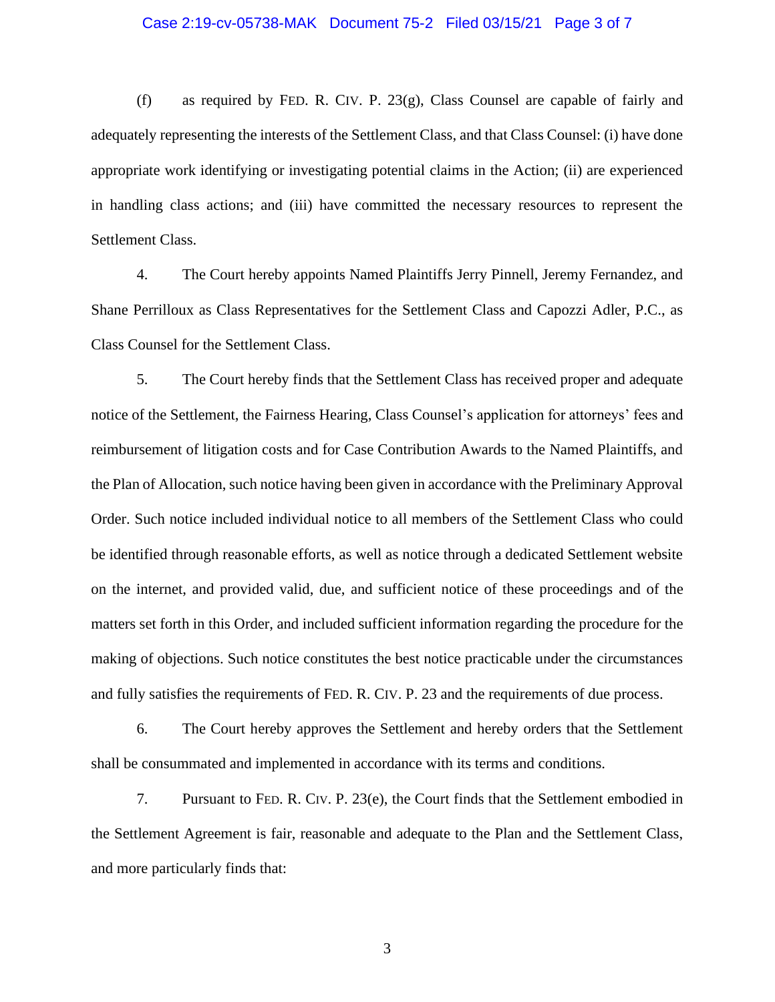#### Case 2:19-cv-05738-MAK Document 75-2 Filed 03/15/21 Page 3 of 7

(f) as required by FED. R. CIV. P. 23(g), Class Counsel are capable of fairly and adequately representing the interests of the Settlement Class, and that Class Counsel: (i) have done appropriate work identifying or investigating potential claims in the Action; (ii) are experienced in handling class actions; and (iii) have committed the necessary resources to represent the Settlement Class.

4. The Court hereby appoints Named Plaintiffs Jerry Pinnell, Jeremy Fernandez, and Shane Perrilloux as Class Representatives for the Settlement Class and Capozzi Adler, P.C., as Class Counsel for the Settlement Class.

5. The Court hereby finds that the Settlement Class has received proper and adequate notice of the Settlement, the Fairness Hearing, Class Counsel's application for attorneys' fees and reimbursement of litigation costs and for Case Contribution Awards to the Named Plaintiffs, and the Plan of Allocation, such notice having been given in accordance with the Preliminary Approval Order. Such notice included individual notice to all members of the Settlement Class who could be identified through reasonable efforts, as well as notice through a dedicated Settlement website on the internet, and provided valid, due, and sufficient notice of these proceedings and of the matters set forth in this Order, and included sufficient information regarding the procedure for the making of objections. Such notice constitutes the best notice practicable under the circumstances and fully satisfies the requirements of FED. R. CIV. P. 23 and the requirements of due process.

6. The Court hereby approves the Settlement and hereby orders that the Settlement shall be consummated and implemented in accordance with its terms and conditions.

7. Pursuant to FED. R. CIV. P. 23(e), the Court finds that the Settlement embodied in the Settlement Agreement is fair, reasonable and adequate to the Plan and the Settlement Class, and more particularly finds that: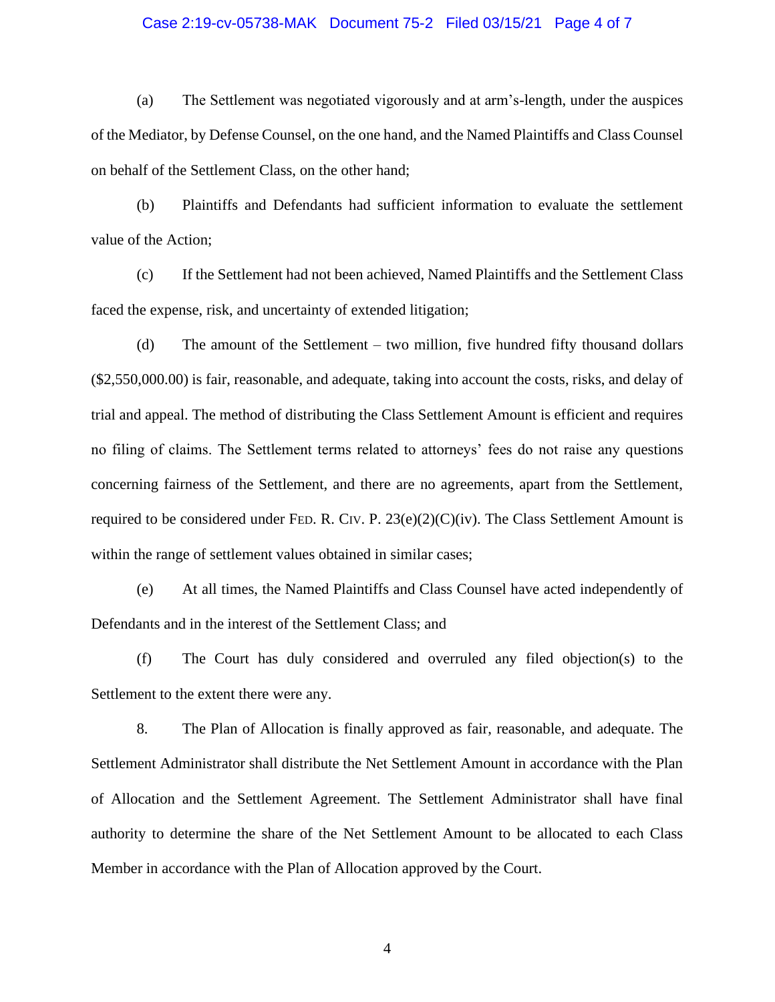#### Case 2:19-cv-05738-MAK Document 75-2 Filed 03/15/21 Page 4 of 7

(a) The Settlement was negotiated vigorously and at arm's-length, under the auspices of the Mediator, by Defense Counsel, on the one hand, and the Named Plaintiffs and Class Counsel on behalf of the Settlement Class, on the other hand;

(b) Plaintiffs and Defendants had sufficient information to evaluate the settlement value of the Action;

(c) If the Settlement had not been achieved, Named Plaintiffs and the Settlement Class faced the expense, risk, and uncertainty of extended litigation;

(d) The amount of the Settlement – two million, five hundred fifty thousand dollars (\$2,550,000.00) is fair, reasonable, and adequate, taking into account the costs, risks, and delay of trial and appeal. The method of distributing the Class Settlement Amount is efficient and requires no filing of claims. The Settlement terms related to attorneys' fees do not raise any questions concerning fairness of the Settlement, and there are no agreements, apart from the Settlement, required to be considered under FED. R. CIV. P.  $23(e)(2)(C)(iv)$ . The Class Settlement Amount is within the range of settlement values obtained in similar cases;

(e) At all times, the Named Plaintiffs and Class Counsel have acted independently of Defendants and in the interest of the Settlement Class; and

(f) The Court has duly considered and overruled any filed objection(s) to the Settlement to the extent there were any.

8. The Plan of Allocation is finally approved as fair, reasonable, and adequate. The Settlement Administrator shall distribute the Net Settlement Amount in accordance with the Plan of Allocation and the Settlement Agreement. The Settlement Administrator shall have final authority to determine the share of the Net Settlement Amount to be allocated to each Class Member in accordance with the Plan of Allocation approved by the Court.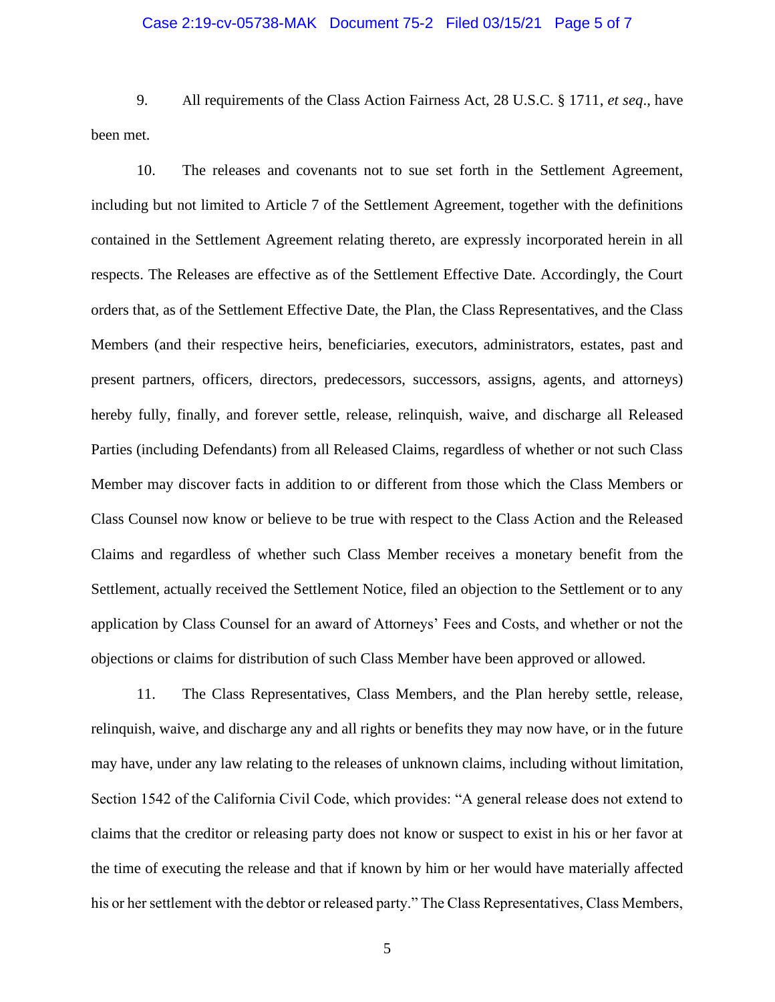#### Case 2:19-cv-05738-MAK Document 75-2 Filed 03/15/21 Page 5 of 7

9. All requirements of the Class Action Fairness Act, 28 U.S.C. § 1711, *et seq*., have been met.

10. The releases and covenants not to sue set forth in the Settlement Agreement, including but not limited to Article 7 of the Settlement Agreement, together with the definitions contained in the Settlement Agreement relating thereto, are expressly incorporated herein in all respects. The Releases are effective as of the Settlement Effective Date. Accordingly, the Court orders that, as of the Settlement Effective Date, the Plan, the Class Representatives, and the Class Members (and their respective heirs, beneficiaries, executors, administrators, estates, past and present partners, officers, directors, predecessors, successors, assigns, agents, and attorneys) hereby fully, finally, and forever settle, release, relinquish, waive, and discharge all Released Parties (including Defendants) from all Released Claims, regardless of whether or not such Class Member may discover facts in addition to or different from those which the Class Members or Class Counsel now know or believe to be true with respect to the Class Action and the Released Claims and regardless of whether such Class Member receives a monetary benefit from the Settlement, actually received the Settlement Notice, filed an objection to the Settlement or to any application by Class Counsel for an award of Attorneys' Fees and Costs, and whether or not the objections or claims for distribution of such Class Member have been approved or allowed.

11. The Class Representatives, Class Members, and the Plan hereby settle, release, relinquish, waive, and discharge any and all rights or benefits they may now have, or in the future may have, under any law relating to the releases of unknown claims, including without limitation, Section 1542 of the California Civil Code, which provides: "A general release does not extend to claims that the creditor or releasing party does not know or suspect to exist in his or her favor at the time of executing the release and that if known by him or her would have materially affected his or her settlement with the debtor or released party." The Class Representatives, Class Members,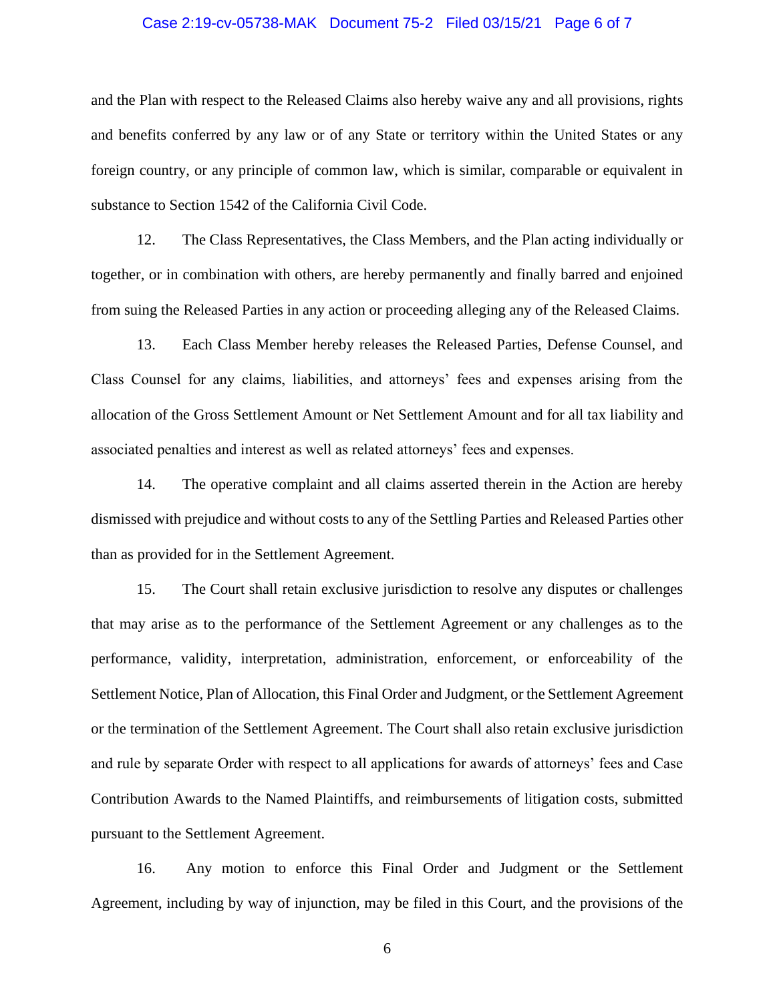#### Case 2:19-cv-05738-MAK Document 75-2 Filed 03/15/21 Page 6 of 7

and the Plan with respect to the Released Claims also hereby waive any and all provisions, rights and benefits conferred by any law or of any State or territory within the United States or any foreign country, or any principle of common law, which is similar, comparable or equivalent in substance to Section 1542 of the California Civil Code.

12. The Class Representatives, the Class Members, and the Plan acting individually or together, or in combination with others, are hereby permanently and finally barred and enjoined from suing the Released Parties in any action or proceeding alleging any of the Released Claims.

13. Each Class Member hereby releases the Released Parties, Defense Counsel, and Class Counsel for any claims, liabilities, and attorneys' fees and expenses arising from the allocation of the Gross Settlement Amount or Net Settlement Amount and for all tax liability and associated penalties and interest as well as related attorneys' fees and expenses.

14. The operative complaint and all claims asserted therein in the Action are hereby dismissed with prejudice and without costs to any of the Settling Parties and Released Parties other than as provided for in the Settlement Agreement.

15. The Court shall retain exclusive jurisdiction to resolve any disputes or challenges that may arise as to the performance of the Settlement Agreement or any challenges as to the performance, validity, interpretation, administration, enforcement, or enforceability of the Settlement Notice, Plan of Allocation, this Final Order and Judgment, or the Settlement Agreement or the termination of the Settlement Agreement. The Court shall also retain exclusive jurisdiction and rule by separate Order with respect to all applications for awards of attorneys' fees and Case Contribution Awards to the Named Plaintiffs, and reimbursements of litigation costs, submitted pursuant to the Settlement Agreement.

16. Any motion to enforce this Final Order and Judgment or the Settlement Agreement, including by way of injunction, may be filed in this Court, and the provisions of the